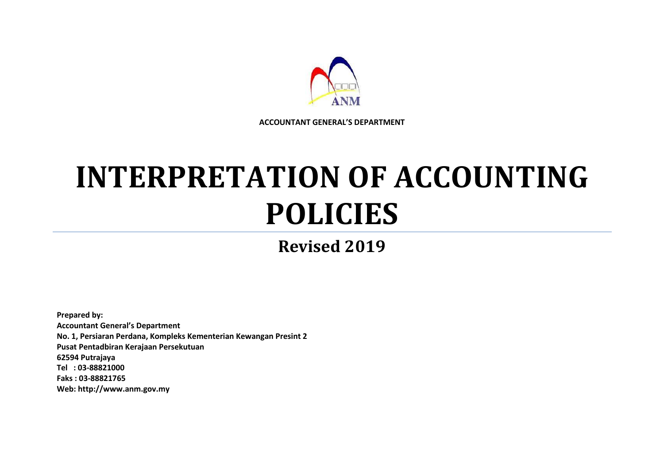

**ACCOUNTANT GENERAL'S DEPARTMENT**

# **INTERPRETATION OF ACCOUNTING POLICIES**

**Revised 2019**

**Prepared by: Accountant General's Department No. 1, Persiaran Perdana, Kompleks Kementerian Kewangan Presint 2 Pusat Pentadbiran Kerajaan Persekutuan 62594 Putrajaya Tel : 03-88821000 Faks : 03-88821765 Web: http://www.anm.gov.my**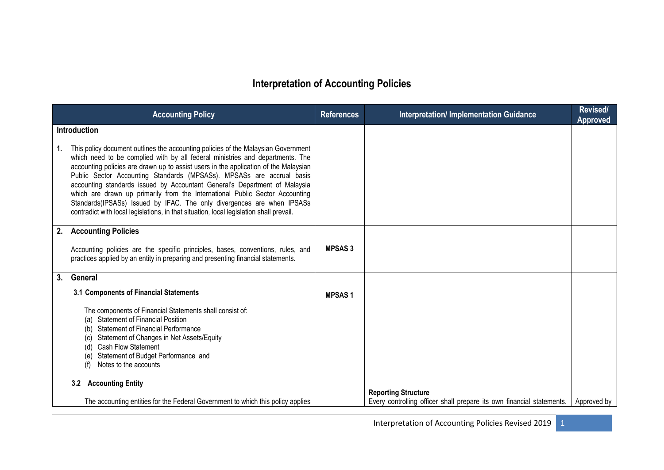# **Interpretation of Accounting Policies**

|    | <b>Accounting Policy</b>                                                                                                                                                                                                                                                                                                                                                                                                                                                                                                                                                                                                                                                                      | <b>References</b> | <b>Interpretation/ Implementation Guidance</b>                                                      | <b>Revised/</b><br><b>Approved</b> |
|----|-----------------------------------------------------------------------------------------------------------------------------------------------------------------------------------------------------------------------------------------------------------------------------------------------------------------------------------------------------------------------------------------------------------------------------------------------------------------------------------------------------------------------------------------------------------------------------------------------------------------------------------------------------------------------------------------------|-------------------|-----------------------------------------------------------------------------------------------------|------------------------------------|
| 1. | <b>Introduction</b><br>This policy document outlines the accounting policies of the Malaysian Government<br>which need to be complied with by all federal ministries and departments. The<br>accounting policies are drawn up to assist users in the application of the Malaysian<br>Public Sector Accounting Standards (MPSASs). MPSASs are accrual basis<br>accounting standards issued by Accountant General's Department of Malaysia<br>which are drawn up primarily from the International Public Sector Accounting<br>Standards(IPSASs) Issued by IFAC. The only divergences are when IPSASs<br>contradict with local legislations, in that situation, local legislation shall prevail. |                   |                                                                                                     |                                    |
| 2. | <b>Accounting Policies</b><br>Accounting policies are the specific principles, bases, conventions, rules, and<br>practices applied by an entity in preparing and presenting financial statements.                                                                                                                                                                                                                                                                                                                                                                                                                                                                                             | <b>MPSAS3</b>     |                                                                                                     |                                    |
| 3. | General<br>3.1 Components of Financial Statements<br>The components of Financial Statements shall consist of:<br><b>Statement of Financial Position</b><br>(a)<br><b>Statement of Financial Performance</b><br>(b)<br>Statement of Changes in Net Assets/Equity<br>(C)<br><b>Cash Flow Statement</b><br>(d)<br>Statement of Budget Performance and<br>(e)<br>Notes to the accounts                                                                                                                                                                                                                                                                                                            | <b>MPSAS1</b>     |                                                                                                     |                                    |
|    | 3.2 Accounting Entity<br>The accounting entities for the Federal Government to which this policy applies                                                                                                                                                                                                                                                                                                                                                                                                                                                                                                                                                                                      |                   | <b>Reporting Structure</b><br>Every controlling officer shall prepare its own financial statements. | Approved by                        |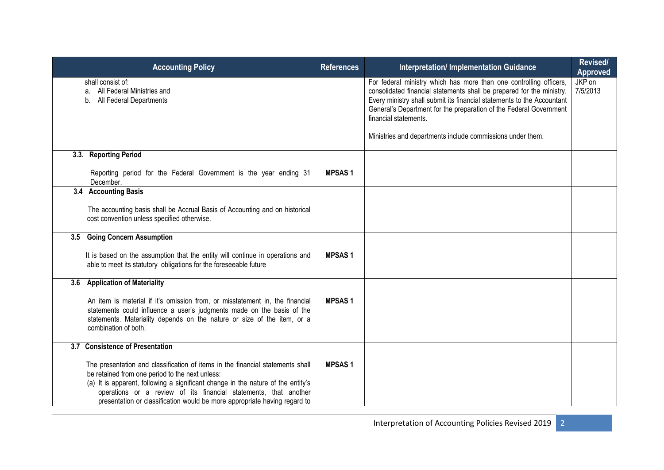|     | <b>Accounting Policy</b>                                                                                                                                                                                                                                                                                                                                               | <b>References</b> | <b>Interpretation/Implementation Guidance</b>                                                                                                                                                                                                                                                                                                                                      | Revised/<br><b>Approved</b> |
|-----|------------------------------------------------------------------------------------------------------------------------------------------------------------------------------------------------------------------------------------------------------------------------------------------------------------------------------------------------------------------------|-------------------|------------------------------------------------------------------------------------------------------------------------------------------------------------------------------------------------------------------------------------------------------------------------------------------------------------------------------------------------------------------------------------|-----------------------------|
|     | shall consist of:<br>a. All Federal Ministries and<br>b. All Federal Departments                                                                                                                                                                                                                                                                                       |                   | For federal ministry which has more than one controlling officers,<br>consolidated financial statements shall be prepared for the ministry.<br>Every ministry shall submit its financial statements to the Accountant<br>General's Department for the preparation of the Federal Government<br>financial statements.<br>Ministries and departments include commissions under them. | JKP on<br>7/5/2013          |
|     |                                                                                                                                                                                                                                                                                                                                                                        |                   |                                                                                                                                                                                                                                                                                                                                                                                    |                             |
|     | 3.3. Reporting Period                                                                                                                                                                                                                                                                                                                                                  |                   |                                                                                                                                                                                                                                                                                                                                                                                    |                             |
|     | Reporting period for the Federal Government is the year ending 31<br>December.                                                                                                                                                                                                                                                                                         | <b>MPSAS1</b>     |                                                                                                                                                                                                                                                                                                                                                                                    |                             |
|     | 3.4 Accounting Basis                                                                                                                                                                                                                                                                                                                                                   |                   |                                                                                                                                                                                                                                                                                                                                                                                    |                             |
|     | The accounting basis shall be Accrual Basis of Accounting and on historical<br>cost convention unless specified otherwise.                                                                                                                                                                                                                                             |                   |                                                                                                                                                                                                                                                                                                                                                                                    |                             |
| 3.5 | <b>Going Concern Assumption</b>                                                                                                                                                                                                                                                                                                                                        |                   |                                                                                                                                                                                                                                                                                                                                                                                    |                             |
|     | It is based on the assumption that the entity will continue in operations and<br>able to meet its statutory obligations for the foreseeable future                                                                                                                                                                                                                     | <b>MPSAS1</b>     |                                                                                                                                                                                                                                                                                                                                                                                    |                             |
| 3.6 | <b>Application of Materiality</b>                                                                                                                                                                                                                                                                                                                                      |                   |                                                                                                                                                                                                                                                                                                                                                                                    |                             |
|     | An item is material if it's omission from, or misstatement in, the financial<br>statements could influence a user's judgments made on the basis of the<br>statements. Materiality depends on the nature or size of the item, or a<br>combination of both.                                                                                                              | <b>MPSAS1</b>     |                                                                                                                                                                                                                                                                                                                                                                                    |                             |
|     | 3.7 Consistence of Presentation                                                                                                                                                                                                                                                                                                                                        |                   |                                                                                                                                                                                                                                                                                                                                                                                    |                             |
|     | The presentation and classification of items in the financial statements shall<br>be retained from one period to the next unless:<br>(a) It is apparent, following a significant change in the nature of the entity's<br>operations or a review of its financial statements, that another<br>presentation or classification would be more appropriate having regard to | <b>MPSAS1</b>     |                                                                                                                                                                                                                                                                                                                                                                                    |                             |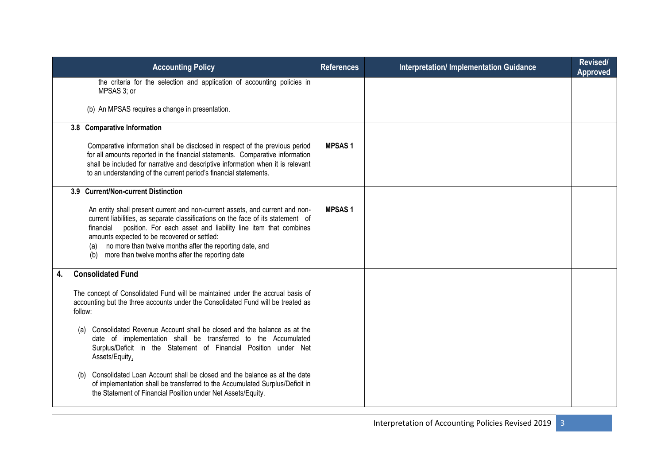| <b>Accounting Policy</b>                                                                                                                                                                                                                                                                                                                                                                                                | <b>References</b> | <b>Interpretation/Implementation Guidance</b> | Revised/<br>Approved |
|-------------------------------------------------------------------------------------------------------------------------------------------------------------------------------------------------------------------------------------------------------------------------------------------------------------------------------------------------------------------------------------------------------------------------|-------------------|-----------------------------------------------|----------------------|
| the criteria for the selection and application of accounting policies in<br>MPSAS 3; or                                                                                                                                                                                                                                                                                                                                 |                   |                                               |                      |
| (b) An MPSAS requires a change in presentation.                                                                                                                                                                                                                                                                                                                                                                         |                   |                                               |                      |
| 3.8 Comparative Information                                                                                                                                                                                                                                                                                                                                                                                             |                   |                                               |                      |
| Comparative information shall be disclosed in respect of the previous period<br>for all amounts reported in the financial statements. Comparative information<br>shall be included for narrative and descriptive information when it is relevant<br>to an understanding of the current period's financial statements.                                                                                                   | <b>MPSAS1</b>     |                                               |                      |
| 3.9 Current/Non-current Distinction                                                                                                                                                                                                                                                                                                                                                                                     |                   |                                               |                      |
| An entity shall present current and non-current assets, and current and non-<br>current liabilities, as separate classifications on the face of its statement of<br>position. For each asset and liability line item that combines<br>financial<br>amounts expected to be recovered or settled:<br>(a) no more than twelve months after the reporting date, and<br>(b) more than twelve months after the reporting date | <b>MPSAS1</b>     |                                               |                      |
| <b>Consolidated Fund</b><br>4.                                                                                                                                                                                                                                                                                                                                                                                          |                   |                                               |                      |
| The concept of Consolidated Fund will be maintained under the accrual basis of<br>accounting but the three accounts under the Consolidated Fund will be treated as<br>follow:                                                                                                                                                                                                                                           |                   |                                               |                      |
| Consolidated Revenue Account shall be closed and the balance as at the<br>date of implementation shall be transferred to the Accumulated<br>Surplus/Deficit in the Statement of Financial Position under Net<br>Assets/Equity,                                                                                                                                                                                          |                   |                                               |                      |
| Consolidated Loan Account shall be closed and the balance as at the date<br>(b)<br>of implementation shall be transferred to the Accumulated Surplus/Deficit in<br>the Statement of Financial Position under Net Assets/Equity.                                                                                                                                                                                         |                   |                                               |                      |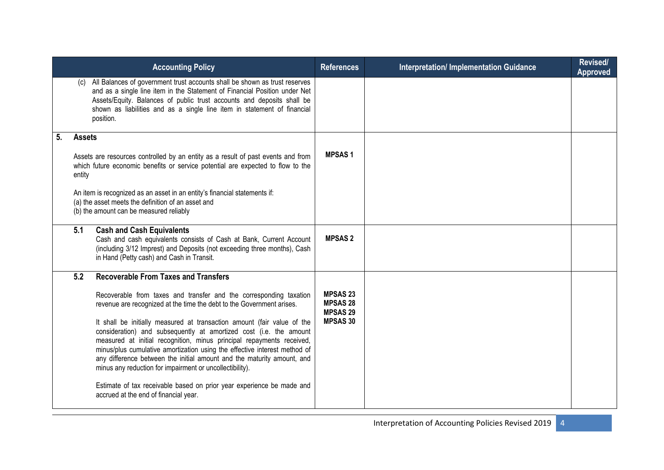| <b>Accounting Policy</b>                                                                                                                                                                                                                                                                                                                                                                                                                                                                                                                                                                                                                                                                                   | <b>References</b>                                                        | <b>Interpretation/Implementation Guidance</b> | Revised/<br><b>Approved</b> |
|------------------------------------------------------------------------------------------------------------------------------------------------------------------------------------------------------------------------------------------------------------------------------------------------------------------------------------------------------------------------------------------------------------------------------------------------------------------------------------------------------------------------------------------------------------------------------------------------------------------------------------------------------------------------------------------------------------|--------------------------------------------------------------------------|-----------------------------------------------|-----------------------------|
| (c) All Balances of government trust accounts shall be shown as trust reserves<br>and as a single line item in the Statement of Financial Position under Net<br>Assets/Equity. Balances of public trust accounts and deposits shall be<br>shown as liabilities and as a single line item in statement of financial<br>position.                                                                                                                                                                                                                                                                                                                                                                            |                                                                          |                                               |                             |
| 5.<br><b>Assets</b>                                                                                                                                                                                                                                                                                                                                                                                                                                                                                                                                                                                                                                                                                        |                                                                          |                                               |                             |
| Assets are resources controlled by an entity as a result of past events and from<br>which future economic benefits or service potential are expected to flow to the<br>entity                                                                                                                                                                                                                                                                                                                                                                                                                                                                                                                              | <b>MPSAS1</b>                                                            |                                               |                             |
| An item is recognized as an asset in an entity's financial statements if:<br>(a) the asset meets the definition of an asset and<br>(b) the amount can be measured reliably                                                                                                                                                                                                                                                                                                                                                                                                                                                                                                                                 |                                                                          |                                               |                             |
| 5.1<br><b>Cash and Cash Equivalents</b><br>Cash and cash equivalents consists of Cash at Bank, Current Account<br>(including 3/12 Imprest) and Deposits (not exceeding three months), Cash<br>in Hand (Petty cash) and Cash in Transit.                                                                                                                                                                                                                                                                                                                                                                                                                                                                    | <b>MPSAS 2</b>                                                           |                                               |                             |
| <b>Recoverable From Taxes and Transfers</b><br>5.2                                                                                                                                                                                                                                                                                                                                                                                                                                                                                                                                                                                                                                                         |                                                                          |                                               |                             |
| Recoverable from taxes and transfer and the corresponding taxation<br>revenue are recognized at the time the debt to the Government arises.<br>It shall be initially measured at transaction amount (fair value of the<br>consideration) and subsequently at amortized cost (i.e. the amount<br>measured at initial recognition, minus principal repayments received,<br>minus/plus cumulative amortization using the effective interest method of<br>any difference between the initial amount and the maturity amount, and<br>minus any reduction for impairment or uncollectibility).<br>Estimate of tax receivable based on prior year experience be made and<br>accrued at the end of financial year. | <b>MPSAS 23</b><br><b>MPSAS 28</b><br><b>MPSAS 29</b><br><b>MPSAS 30</b> |                                               |                             |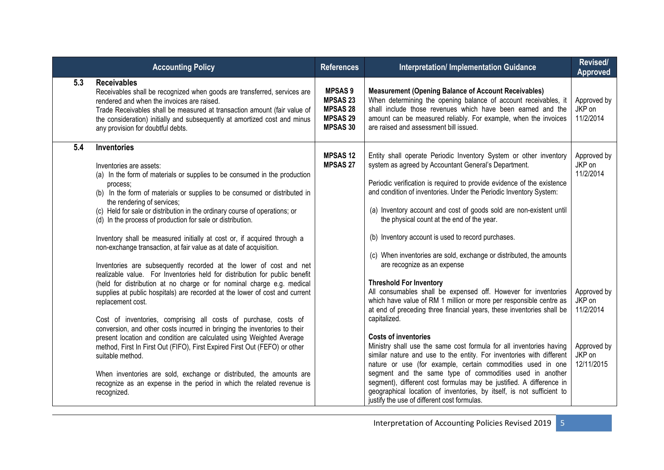|     | <b>Accounting Policy</b>                                                                                                                                                                                                                                                                                                                                                                                                                                                                                                                                                                                                                                                                                                                                                                                                                                                                                                                                                                                                                                                                                                                                                                                                                                                                                                                                           | <b>References</b>                                                                          | <b>Interpretation/ Implementation Guidance</b>                                                                                                                                                                                                                                                                                                                                                                                                                                                                                                                                                                                                                                                                                                                                                                                                                                                                                                                                                                                                                                                                                                                                                                                                                                                                                        | Revised/<br><b>Approved</b>                                                                                     |
|-----|--------------------------------------------------------------------------------------------------------------------------------------------------------------------------------------------------------------------------------------------------------------------------------------------------------------------------------------------------------------------------------------------------------------------------------------------------------------------------------------------------------------------------------------------------------------------------------------------------------------------------------------------------------------------------------------------------------------------------------------------------------------------------------------------------------------------------------------------------------------------------------------------------------------------------------------------------------------------------------------------------------------------------------------------------------------------------------------------------------------------------------------------------------------------------------------------------------------------------------------------------------------------------------------------------------------------------------------------------------------------|--------------------------------------------------------------------------------------------|---------------------------------------------------------------------------------------------------------------------------------------------------------------------------------------------------------------------------------------------------------------------------------------------------------------------------------------------------------------------------------------------------------------------------------------------------------------------------------------------------------------------------------------------------------------------------------------------------------------------------------------------------------------------------------------------------------------------------------------------------------------------------------------------------------------------------------------------------------------------------------------------------------------------------------------------------------------------------------------------------------------------------------------------------------------------------------------------------------------------------------------------------------------------------------------------------------------------------------------------------------------------------------------------------------------------------------------|-----------------------------------------------------------------------------------------------------------------|
| 5.3 | <b>Receivables</b><br>Receivables shall be recognized when goods are transferred, services are<br>rendered and when the invoices are raised.<br>Trade Receivables shall be measured at transaction amount (fair value of<br>the consideration) initially and subsequently at amortized cost and minus<br>any provision for doubtful debts.                                                                                                                                                                                                                                                                                                                                                                                                                                                                                                                                                                                                                                                                                                                                                                                                                                                                                                                                                                                                                         | <b>MPSAS 9</b><br><b>MPSAS 23</b><br><b>MPSAS 28</b><br><b>MPSAS 29</b><br><b>MPSAS 30</b> | <b>Measurement (Opening Balance of Account Receivables)</b><br>When determining the opening balance of account receivables, it<br>shall include those revenues which have been earned and the<br>amount can be measured reliably. For example, when the invoices<br>are raised and assessment bill issued.                                                                                                                                                                                                                                                                                                                                                                                                                                                                                                                                                                                                                                                                                                                                                                                                                                                                                                                                                                                                                            | Approved by<br>JKP on<br>11/2/2014                                                                              |
| 5.4 | Inventories<br>Inventories are assets:<br>(a) In the form of materials or supplies to be consumed in the production<br>process:<br>(b) In the form of materials or supplies to be consumed or distributed in<br>the rendering of services;<br>(c) Held for sale or distribution in the ordinary course of operations; or<br>(d) In the process of production for sale or distribution.<br>Inventory shall be measured initially at cost or, if acquired through a<br>non-exchange transaction, at fair value as at date of acquisition.<br>Inventories are subsequently recorded at the lower of cost and net<br>realizable value. For Inventories held for distribution for public benefit<br>(held for distribution at no charge or for nominal charge e.g. medical<br>supplies at public hospitals) are recorded at the lower of cost and current<br>replacement cost.<br>Cost of inventories, comprising all costs of purchase, costs of<br>conversion, and other costs incurred in bringing the inventories to their<br>present location and condition are calculated using Weighted Average<br>method, First In First Out (FIFO), First Expired First Out (FEFO) or other<br>suitable method.<br>When inventories are sold, exchange or distributed, the amounts are<br>recognize as an expense in the period in which the related revenue is<br>recognized. | <b>MPSAS12</b><br><b>MPSAS 27</b>                                                          | Entity shall operate Periodic Inventory System or other inventory<br>system as agreed by Accountant General's Department.<br>Periodic verification is required to provide evidence of the existence<br>and condition of inventories. Under the Periodic Inventory System:<br>(a) Inventory account and cost of goods sold are non-existent until<br>the physical count at the end of the year.<br>(b) Inventory account is used to record purchases.<br>(c) When inventories are sold, exchange or distributed, the amounts<br>are recognize as an expense<br><b>Threshold For Inventory</b><br>All consumables shall be expensed off. However for inventories<br>which have value of RM 1 million or more per responsible centre as<br>at end of preceding three financial years, these inventories shall be<br>capitalized.<br><b>Costs of inventories</b><br>Ministry shall use the same cost formula for all inventories having<br>similar nature and use to the entity. For inventories with different<br>nature or use (for example, certain commodities used in one<br>segment and the same type of commodities used in another<br>segment), different cost formulas may be justified. A difference in<br>geographical location of inventories, by itself, is not sufficient to<br>justify the use of different cost formulas. | Approved by<br>JKP on<br>11/2/2014<br>Approved by<br>JKP on<br>11/2/2014<br>Approved by<br>JKP on<br>12/11/2015 |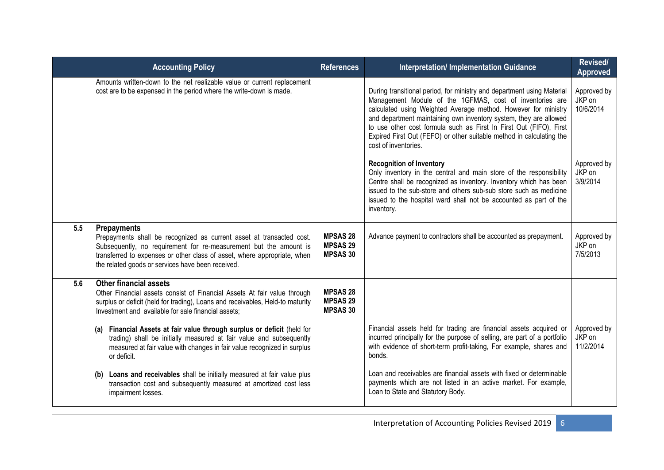| <b>Accounting Policy</b>                                                                                                                |                                                                                                                                                                                                                                                                                                                                                                                                                                                                                                                                      | <b>References</b>                                     | <b>Interpretation/ Implementation Guidance</b>                                                                                                                                                                                                                                                                                                                                                                                                  | <b>Revised/</b><br>Approved        |
|-----------------------------------------------------------------------------------------------------------------------------------------|--------------------------------------------------------------------------------------------------------------------------------------------------------------------------------------------------------------------------------------------------------------------------------------------------------------------------------------------------------------------------------------------------------------------------------------------------------------------------------------------------------------------------------------|-------------------------------------------------------|-------------------------------------------------------------------------------------------------------------------------------------------------------------------------------------------------------------------------------------------------------------------------------------------------------------------------------------------------------------------------------------------------------------------------------------------------|------------------------------------|
| cost are to be expensed in the period where the write-down is made.                                                                     | Amounts written-down to the net realizable value or current replacement                                                                                                                                                                                                                                                                                                                                                                                                                                                              |                                                       | During transitional period, for ministry and department using Material<br>Management Module of the 1GFMAS, cost of inventories are<br>calculated using Weighted Average method. However for ministry<br>and department maintaining own inventory system, they are allowed<br>to use other cost formula such as First In First Out (FIFO), First<br>Expired First Out (FEFO) or other suitable method in calculating the<br>cost of inventories. | Approved by<br>JKP on<br>10/6/2014 |
|                                                                                                                                         |                                                                                                                                                                                                                                                                                                                                                                                                                                                                                                                                      |                                                       | <b>Recognition of Inventory</b><br>Only inventory in the central and main store of the responsibility<br>Centre shall be recognized as inventory. Inventory which has been<br>issued to the sub-store and others sub-sub store such as medicine<br>issued to the hospital ward shall not be accounted as part of the<br>inventory.                                                                                                              | Approved by<br>JKP on<br>3/9/2014  |
| 5.5<br><b>Prepayments</b><br>the related goods or services have been received.                                                          | Prepayments shall be recognized as current asset at transacted cost.<br>Subsequently, no requirement for re-measurement but the amount is<br>transferred to expenses or other class of asset, where appropriate, when                                                                                                                                                                                                                                                                                                                | <b>MPSAS 28</b><br><b>MPSAS 29</b><br><b>MPSAS 30</b> | Advance payment to contractors shall be accounted as prepayment.                                                                                                                                                                                                                                                                                                                                                                                | Approved by<br>JKP on<br>7/5/2013  |
| <b>Other financial assets</b><br>5.6<br>Investment and available for sale financial assets;<br>or deficit.<br>(b)<br>impairment losses. | Other Financial assets consist of Financial Assets At fair value through<br>surplus or deficit (held for trading), Loans and receivables, Held-to maturity<br>(a) Financial Assets at fair value through surplus or deficit (held for<br>trading) shall be initially measured at fair value and subsequently<br>measured at fair value with changes in fair value recognized in surplus<br>Loans and receivables shall be initially measured at fair value plus<br>transaction cost and subsequently measured at amortized cost less | <b>MPSAS 28</b><br><b>MPSAS 29</b><br><b>MPSAS 30</b> | Financial assets held for trading are financial assets acquired or<br>incurred principally for the purpose of selling, are part of a portfolio<br>with evidence of short-term profit-taking, For example, shares and<br>bonds.<br>Loan and receivables are financial assets with fixed or determinable<br>payments which are not listed in an active market. For example,<br>Loan to State and Statutory Body.                                  | Approved by<br>JKP on<br>11/2/2014 |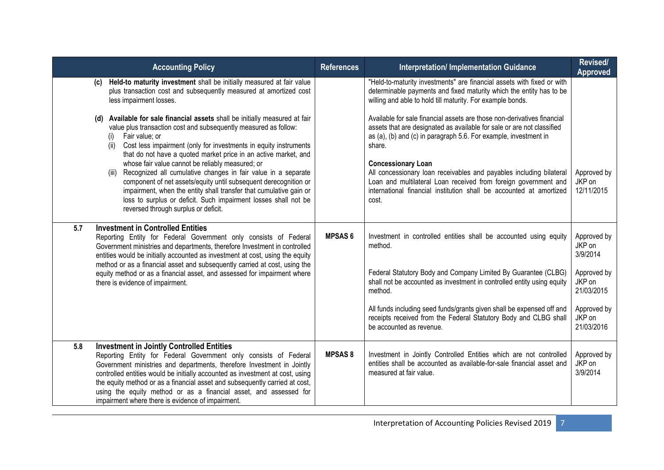| <b>Accounting Policy</b>                                                                                                                                                                                                                                                                                                                                                                                                                                                                        | <b>References</b> | <b>Interpretation/Implementation Guidance</b>                                                                                                                                                                                                       | Revised/<br><b>Approved</b>         |
|-------------------------------------------------------------------------------------------------------------------------------------------------------------------------------------------------------------------------------------------------------------------------------------------------------------------------------------------------------------------------------------------------------------------------------------------------------------------------------------------------|-------------------|-----------------------------------------------------------------------------------------------------------------------------------------------------------------------------------------------------------------------------------------------------|-------------------------------------|
| Held-to maturity investment shall be initially measured at fair value<br>(c)<br>plus transaction cost and subsequently measured at amortized cost<br>less impairment losses.                                                                                                                                                                                                                                                                                                                    |                   | "Held-to-maturity investments" are financial assets with fixed or with<br>determinable payments and fixed maturity which the entity has to be<br>willing and able to hold till maturity. For example bonds.                                         |                                     |
| Available for sale financial assets shall be initially measured at fair<br>(d)<br>value plus transaction cost and subsequently measured as follow:<br>Fair value; or<br>(i)<br>Cost less impairment (only for investments in equity instruments<br>(ii)<br>that do not have a quoted market price in an active market, and                                                                                                                                                                      |                   | Available for sale financial assets are those non-derivatives financial<br>assets that are designated as available for sale or are not classified<br>as (a), (b) and (c) in paragraph 5.6. For example, investment in<br>share.                     |                                     |
| whose fair value cannot be reliably measured; or<br>(iii) Recognized all cumulative changes in fair value in a separate<br>component of net assets/equity until subsequent derecognition or<br>impairment, when the entity shall transfer that cumulative gain or<br>loss to surplus or deficit. Such impairment losses shall not be<br>reversed through surplus or deficit.                                                                                                                    |                   | <b>Concessionary Loan</b><br>All concessionary loan receivables and payables including bilateral<br>Loan and multilateral Loan received from foreign government and<br>international financial institution shall be accounted at amortized<br>cost. | Approved by<br>JKP on<br>12/11/2015 |
| <b>Investment in Controlled Entities</b><br>5.7<br>Reporting Entity for Federal Government only consists of Federal<br>Government ministries and departments, therefore Investment in controlled<br>entities would be initially accounted as investment at cost, using the equity                                                                                                                                                                                                               | <b>MPSAS 6</b>    | Investment in controlled entities shall be accounted using equity<br>method.                                                                                                                                                                        | Approved by<br>JKP on<br>3/9/2014   |
| method or as a financial asset and subsequently carried at cost, using the<br>equity method or as a financial asset, and assessed for impairment where<br>there is evidence of impairment.                                                                                                                                                                                                                                                                                                      |                   | Federal Statutory Body and Company Limited By Guarantee (CLBG)<br>shall not be accounted as investment in controlled entity using equity<br>method.                                                                                                 | Approved by<br>JKP on<br>21/03/2015 |
|                                                                                                                                                                                                                                                                                                                                                                                                                                                                                                 |                   | All funds including seed funds/grants given shall be expensed off and<br>receipts received from the Federal Statutory Body and CLBG shall<br>be accounted as revenue.                                                                               | Approved by<br>JKP on<br>21/03/2016 |
| <b>Investment in Jointly Controlled Entities</b><br>5.8<br>Reporting Entity for Federal Government only consists of Federal<br>Government ministries and departments, therefore Investment in Jointly<br>controlled entities would be initially accounted as investment at cost, using<br>the equity method or as a financial asset and subsequently carried at cost,<br>using the equity method or as a financial asset, and assessed for<br>impairment where there is evidence of impairment. | <b>MPSAS8</b>     | Investment in Jointly Controlled Entities which are not controlled<br>entities shall be accounted as available-for-sale financial asset and<br>measured at fair value.                                                                              | Approved by<br>JKP on<br>3/9/2014   |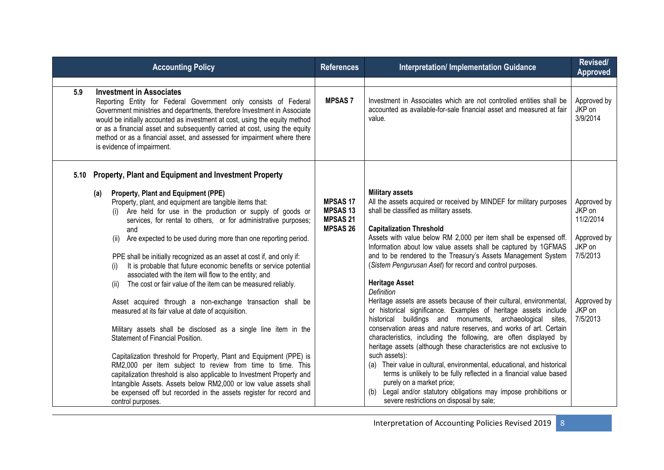| <b>Accounting Policy</b>                                                                                                                                                                                                                                                                                                                                                                                                                                                                                                                                                                                                                                                                                                                                                                                                                                                                                                                                                                                                                                                                                                                                                                              | <b>References</b>                                                       | <b>Interpretation/Implementation Guidance</b>                                                                                                                                                                                                                                                                                                                                                                                                                                                                                                                                                                                                                                                                                                                                                                                                                                                                                                                                                                                                                                                                                                                                       | Revised/<br><b>Approved</b>                                                                                  |
|-------------------------------------------------------------------------------------------------------------------------------------------------------------------------------------------------------------------------------------------------------------------------------------------------------------------------------------------------------------------------------------------------------------------------------------------------------------------------------------------------------------------------------------------------------------------------------------------------------------------------------------------------------------------------------------------------------------------------------------------------------------------------------------------------------------------------------------------------------------------------------------------------------------------------------------------------------------------------------------------------------------------------------------------------------------------------------------------------------------------------------------------------------------------------------------------------------|-------------------------------------------------------------------------|-------------------------------------------------------------------------------------------------------------------------------------------------------------------------------------------------------------------------------------------------------------------------------------------------------------------------------------------------------------------------------------------------------------------------------------------------------------------------------------------------------------------------------------------------------------------------------------------------------------------------------------------------------------------------------------------------------------------------------------------------------------------------------------------------------------------------------------------------------------------------------------------------------------------------------------------------------------------------------------------------------------------------------------------------------------------------------------------------------------------------------------------------------------------------------------|--------------------------------------------------------------------------------------------------------------|
|                                                                                                                                                                                                                                                                                                                                                                                                                                                                                                                                                                                                                                                                                                                                                                                                                                                                                                                                                                                                                                                                                                                                                                                                       |                                                                         |                                                                                                                                                                                                                                                                                                                                                                                                                                                                                                                                                                                                                                                                                                                                                                                                                                                                                                                                                                                                                                                                                                                                                                                     |                                                                                                              |
| <b>Investment in Associates</b><br>5.9<br>Reporting Entity for Federal Government only consists of Federal<br>Government ministries and departments, therefore Investment in Associate<br>would be initially accounted as investment at cost, using the equity method<br>or as a financial asset and subsequently carried at cost, using the equity<br>method or as a financial asset, and assessed for impairment where there<br>is evidence of impairment.                                                                                                                                                                                                                                                                                                                                                                                                                                                                                                                                                                                                                                                                                                                                          | <b>MPSAS7</b>                                                           | Investment in Associates which are not controlled entities shall be<br>accounted as available-for-sale financial asset and measured at fair<br>value.                                                                                                                                                                                                                                                                                                                                                                                                                                                                                                                                                                                                                                                                                                                                                                                                                                                                                                                                                                                                                               | Approved by<br>JKP on<br>3/9/2014                                                                            |
| 5.10 Property, Plant and Equipment and Investment Property                                                                                                                                                                                                                                                                                                                                                                                                                                                                                                                                                                                                                                                                                                                                                                                                                                                                                                                                                                                                                                                                                                                                            |                                                                         |                                                                                                                                                                                                                                                                                                                                                                                                                                                                                                                                                                                                                                                                                                                                                                                                                                                                                                                                                                                                                                                                                                                                                                                     |                                                                                                              |
| Property, Plant and Equipment (PPE)<br>(a)<br>Property, plant, and equipment are tangible items that:<br>(i) Are held for use in the production or supply of goods or<br>services, for rental to others, or for administrative purposes;<br>and<br>Are expected to be used during more than one reporting period.<br>(ii)<br>PPE shall be initially recognized as an asset at cost if, and only if:<br>It is probable that future economic benefits or service potential<br>(i)<br>associated with the item will flow to the entity; and<br>The cost or fair value of the item can be measured reliably.<br>(ii)<br>Asset acquired through a non-exchange transaction shall be<br>measured at its fair value at date of acquisition.<br>Military assets shall be disclosed as a single line item in the<br>Statement of Financial Position.<br>Capitalization threshold for Property, Plant and Equipment (PPE) is<br>RM2,000 per item subject to review from time to time. This<br>capitalization threshold is also applicable to Investment Property and<br>Intangible Assets. Assets below RM2,000 or low value assets shall<br>be expensed off but recorded in the assets register for record and | <b>MPSAS 17</b><br><b>MPSAS13</b><br><b>MPSAS 21</b><br><b>MPSAS 26</b> | <b>Military assets</b><br>All the assets acquired or received by MINDEF for military purposes<br>shall be classified as military assets.<br><b>Capitalization Threshold</b><br>Assets with value below RM 2,000 per item shall be expensed off.<br>Information about low value assets shall be captured by 1GFMAS<br>and to be rendered to the Treasury's Assets Management System<br>(Sistem Pengurusan Aset) for record and control purposes.<br><b>Heritage Asset</b><br>Definition<br>Heritage assets are assets because of their cultural, environmental,<br>or historical significance. Examples of heritage assets include<br>historical buildings and monuments, archaeological sites,<br>conservation areas and nature reserves, and works of art. Certain<br>characteristics, including the following, are often displayed by<br>heritage assets (although these characteristics are not exclusive to<br>such assets):<br>(a) Their value in cultural, environmental, educational, and historical<br>terms is unlikely to be fully reflected in a financial value based<br>purely on a market price;<br>(b) Legal and/or statutory obligations may impose prohibitions or | Approved by<br>JKP on<br>11/2/2014<br>Approved by<br>JKP on<br>7/5/2013<br>Approved by<br>JKP on<br>7/5/2013 |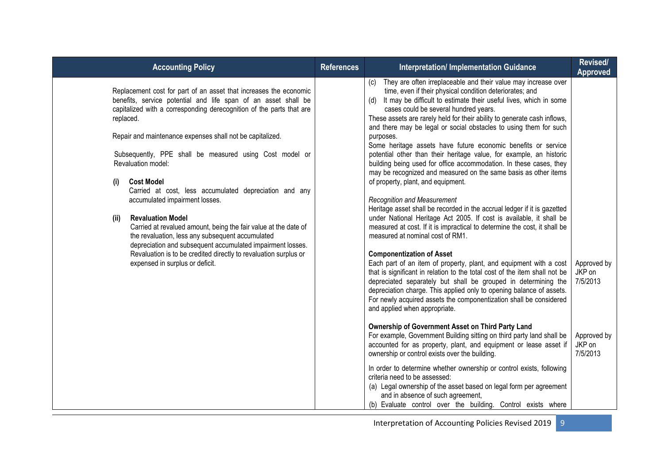| <b>Accounting Policy</b>                                                                                                                                                                                                                                                                                                                                                                                                                                                                                                                                                                                                                                                                                                                                                                                                       | <b>References</b> | <b>Interpretation/ Implementation Guidance</b>                                                                                                                                                                                                                                                                                                                                                                                                                                                                                                                                                                                                                                                                                                                                                                                                                                                                                                                                                                                                                                                                                                                                                                                                                                                                                                                                                                                                                | Revised/<br><b>Approved</b>       |
|--------------------------------------------------------------------------------------------------------------------------------------------------------------------------------------------------------------------------------------------------------------------------------------------------------------------------------------------------------------------------------------------------------------------------------------------------------------------------------------------------------------------------------------------------------------------------------------------------------------------------------------------------------------------------------------------------------------------------------------------------------------------------------------------------------------------------------|-------------------|---------------------------------------------------------------------------------------------------------------------------------------------------------------------------------------------------------------------------------------------------------------------------------------------------------------------------------------------------------------------------------------------------------------------------------------------------------------------------------------------------------------------------------------------------------------------------------------------------------------------------------------------------------------------------------------------------------------------------------------------------------------------------------------------------------------------------------------------------------------------------------------------------------------------------------------------------------------------------------------------------------------------------------------------------------------------------------------------------------------------------------------------------------------------------------------------------------------------------------------------------------------------------------------------------------------------------------------------------------------------------------------------------------------------------------------------------------------|-----------------------------------|
| Replacement cost for part of an asset that increases the economic<br>benefits, service potential and life span of an asset shall be<br>capitalized with a corresponding derecognition of the parts that are<br>replaced.<br>Repair and maintenance expenses shall not be capitalized.<br>Subsequently, PPE shall be measured using Cost model or<br>Revaluation model:<br><b>Cost Model</b><br>(i)<br>Carried at cost, less accumulated depreciation and any<br>accumulated impairment losses.<br><b>Revaluation Model</b><br>(ii)<br>Carried at revalued amount, being the fair value at the date of<br>the revaluation, less any subsequent accumulated<br>depreciation and subsequent accumulated impairment losses.<br>Revaluation is to be credited directly to revaluation surplus or<br>expensed in surplus or deficit. |                   | They are often irreplaceable and their value may increase over<br>(c)<br>time, even if their physical condition deteriorates; and<br>It may be difficult to estimate their useful lives, which in some<br>(d)<br>cases could be several hundred years.<br>These assets are rarely held for their ability to generate cash inflows,<br>and there may be legal or social obstacles to using them for such<br>purposes.<br>Some heritage assets have future economic benefits or service<br>potential other than their heritage value, for example, an historic<br>building being used for office accommodation. In these cases, they<br>may be recognized and measured on the same basis as other items<br>of property, plant, and equipment.<br><b>Recognition and Measurement</b><br>Heritage asset shall be recorded in the accrual ledger if it is gazetted<br>under National Heritage Act 2005. If cost is available, it shall be<br>measured at cost. If it is impractical to determine the cost, it shall be<br>measured at nominal cost of RM1.<br><b>Componentization of Asset</b><br>Each part of an item of property, plant, and equipment with a cost<br>that is significant in relation to the total cost of the item shall not be<br>depreciated separately but shall be grouped in determining the<br>depreciation charge. This applied only to opening balance of assets.<br>For newly acquired assets the componentization shall be considered | Approved by<br>JKP on<br>7/5/2013 |
|                                                                                                                                                                                                                                                                                                                                                                                                                                                                                                                                                                                                                                                                                                                                                                                                                                |                   | and applied when appropriate.<br>Ownership of Government Asset on Third Party Land<br>For example, Government Building sitting on third party land shall be<br>accounted for as property, plant, and equipment or lease asset if<br>ownership or control exists over the building.<br>In order to determine whether ownership or control exists, following<br>criteria need to be assessed:<br>(a) Legal ownership of the asset based on legal form per agreement<br>and in absence of such agreement,<br>(b) Evaluate control over the building. Control exists where                                                                                                                                                                                                                                                                                                                                                                                                                                                                                                                                                                                                                                                                                                                                                                                                                                                                                        | Approved by<br>JKP on<br>7/5/2013 |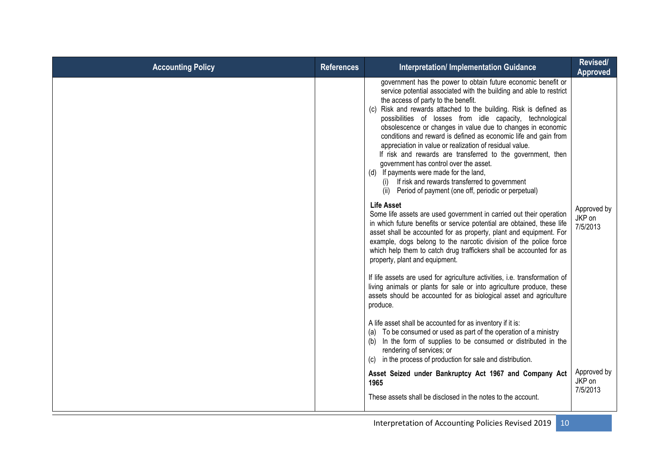| <b>Accounting Policy</b> | <b>References</b> | <b>Interpretation/Implementation Guidance</b>                                                                                                                                                                                                                                                                                                                                                                                                                                                                                                                                                                                                                                                                                                                                  | Revised/<br><b>Approved</b>       |
|--------------------------|-------------------|--------------------------------------------------------------------------------------------------------------------------------------------------------------------------------------------------------------------------------------------------------------------------------------------------------------------------------------------------------------------------------------------------------------------------------------------------------------------------------------------------------------------------------------------------------------------------------------------------------------------------------------------------------------------------------------------------------------------------------------------------------------------------------|-----------------------------------|
|                          |                   | government has the power to obtain future economic benefit or<br>service potential associated with the building and able to restrict<br>the access of party to the benefit.<br>(c) Risk and rewards attached to the building. Risk is defined as<br>possibilities of losses from idle capacity, technological<br>obsolescence or changes in value due to changes in economic<br>conditions and reward is defined as economic life and gain from<br>appreciation in value or realization of residual value.<br>If risk and rewards are transferred to the government, then<br>government has control over the asset.<br>(d) If payments were made for the land,<br>(i) If risk and rewards transferred to government<br>(ii) Period of payment (one off, periodic or perpetual) |                                   |
|                          |                   | <b>Life Asset</b><br>Some life assets are used government in carried out their operation<br>in which future benefits or service potential are obtained, these life<br>asset shall be accounted for as property, plant and equipment. For<br>example, dogs belong to the narcotic division of the police force<br>which help them to catch drug traffickers shall be accounted for as<br>property, plant and equipment.                                                                                                                                                                                                                                                                                                                                                         | Approved by<br>JKP on<br>7/5/2013 |
|                          |                   | If life assets are used for agriculture activities, i.e. transformation of<br>living animals or plants for sale or into agriculture produce, these<br>assets should be accounted for as biological asset and agriculture<br>produce.                                                                                                                                                                                                                                                                                                                                                                                                                                                                                                                                           |                                   |
|                          |                   | A life asset shall be accounted for as inventory if it is:<br>To be consumed or used as part of the operation of a ministry<br>(a)<br>In the form of supplies to be consumed or distributed in the<br>(b)<br>rendering of services; or<br>in the process of production for sale and distribution.<br>(c)                                                                                                                                                                                                                                                                                                                                                                                                                                                                       |                                   |
|                          |                   | Asset Seized under Bankruptcy Act 1967 and Company Act<br>1965<br>These assets shall be disclosed in the notes to the account.                                                                                                                                                                                                                                                                                                                                                                                                                                                                                                                                                                                                                                                 | Approved by<br>JKP on<br>7/5/2013 |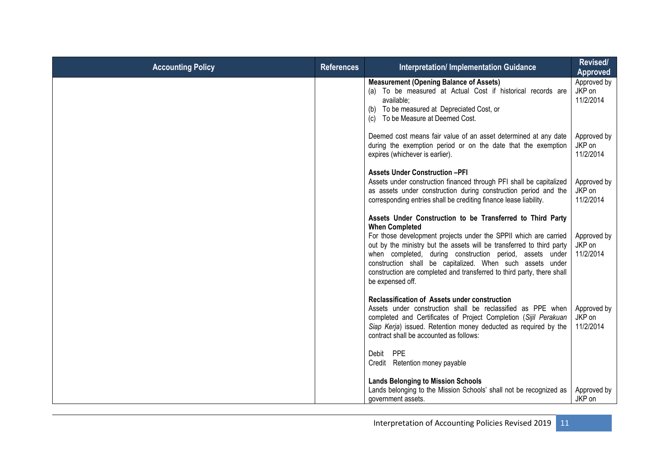| <b>Accounting Policy</b> | <b>References</b> | <b>Interpretation/ Implementation Guidance</b>                                                                                                                                                                                                                                                                                                                                                                                                          | Revised/<br><b>Approved</b>        |
|--------------------------|-------------------|---------------------------------------------------------------------------------------------------------------------------------------------------------------------------------------------------------------------------------------------------------------------------------------------------------------------------------------------------------------------------------------------------------------------------------------------------------|------------------------------------|
|                          |                   | <b>Measurement (Opening Balance of Assets)</b><br>(a) To be measured at Actual Cost if historical records are<br>available;<br>(b) To be measured at Depreciated Cost, or<br>To be Measure at Deemed Cost.<br>(c)                                                                                                                                                                                                                                       | Approved by<br>JKP on<br>11/2/2014 |
|                          |                   | Deemed cost means fair value of an asset determined at any date<br>during the exemption period or on the date that the exemption<br>expires (whichever is earlier).                                                                                                                                                                                                                                                                                     | Approved by<br>JKP on<br>11/2/2014 |
|                          |                   | <b>Assets Under Construction -PFI</b><br>Assets under construction financed through PFI shall be capitalized<br>as assets under construction during construction period and the<br>corresponding entries shall be crediting finance lease liability.                                                                                                                                                                                                    | Approved by<br>JKP on<br>11/2/2014 |
|                          |                   | Assets Under Construction to be Transferred to Third Party<br><b>When Completed</b><br>For those development projects under the SPPII which are carried<br>out by the ministry but the assets will be transferred to third party<br>when completed, during construction period, assets under<br>construction shall be capitalized. When such assets under<br>construction are completed and transferred to third party, there shall<br>be expensed off. | Approved by<br>JKP on<br>11/2/2014 |
|                          |                   | <b>Reclassification of Assets under construction</b><br>Assets under construction shall be reclassified as PPE when<br>completed and Certificates of Project Completion (Sijil Perakuan<br>Siap Kerja) issued. Retention money deducted as required by the<br>contract shall be accounted as follows:                                                                                                                                                   | Approved by<br>JKP on<br>11/2/2014 |
|                          |                   | <b>PPE</b><br>Debit<br>Credit Retention money payable                                                                                                                                                                                                                                                                                                                                                                                                   |                                    |
|                          |                   | <b>Lands Belonging to Mission Schools</b><br>Lands belonging to the Mission Schools' shall not be recognized as<br>government assets.                                                                                                                                                                                                                                                                                                                   | Approved by<br>JKP on              |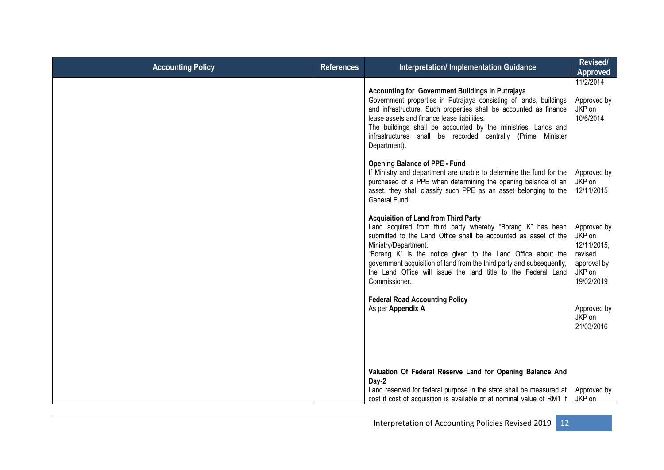| <b>Accounting Policy</b> | <b>References</b> | <b>Interpretation/ Implementation Guidance</b>                                                                                                                                                                                                                                                                                                                                                                                 | Revised/<br>Approved                                                                   |
|--------------------------|-------------------|--------------------------------------------------------------------------------------------------------------------------------------------------------------------------------------------------------------------------------------------------------------------------------------------------------------------------------------------------------------------------------------------------------------------------------|----------------------------------------------------------------------------------------|
|                          |                   | Accounting for Government Buildings In Putrajaya<br>Government properties in Putrajaya consisting of lands, buildings<br>and infrastructure. Such properties shall be accounted as finance<br>lease assets and finance lease liabilities.<br>The buildings shall be accounted by the ministries. Lands and<br>infrastructures shall be recorded centrally (Prime Minister<br>Department).                                      | 11/2/2014<br>Approved by<br>JKP on<br>10/6/2014                                        |
|                          |                   | <b>Opening Balance of PPE - Fund</b><br>If Ministry and department are unable to determine the fund for the<br>purchased of a PPE when determining the opening balance of an<br>asset, they shall classify such PPE as an asset belonging to the<br>General Fund.                                                                                                                                                              | Approved by<br>JKP on<br>12/11/2015                                                    |
|                          |                   | <b>Acquisition of Land from Third Party</b><br>Land acquired from third party whereby "Borang K" has been<br>submitted to the Land Office shall be accounted as asset of the<br>Ministry/Department.<br>"Borang K" is the notice given to the Land Office about the<br>government acquisition of land from the third party and subsequently,<br>the Land Office will issue the land title to the Federal Land<br>Commissioner. | Approved by<br>JKP on<br>12/11/2015,<br>revised<br>approval by<br>JKP on<br>19/02/2019 |
|                          |                   | <b>Federal Road Accounting Policy</b><br>As per Appendix A                                                                                                                                                                                                                                                                                                                                                                     | Approved by<br>JKP on<br>21/03/2016                                                    |
|                          |                   | Valuation Of Federal Reserve Land for Opening Balance And<br>Day-2                                                                                                                                                                                                                                                                                                                                                             |                                                                                        |
|                          |                   | Land reserved for federal purpose in the state shall be measured at<br>cost if cost of acquisition is available or at nominal value of RM1 if                                                                                                                                                                                                                                                                                  | Approved by<br>JKP on                                                                  |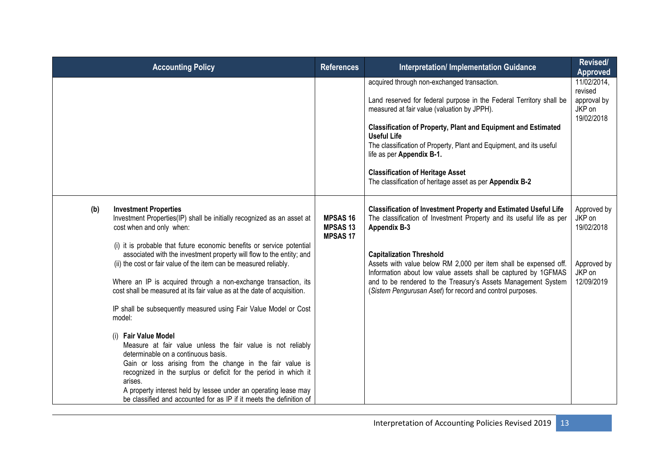|     | <b>Accounting Policy</b>                                                                                                                                                                                                                                                                                                                                                                                        | <b>References</b>                                   | <b>Interpretation/ Implementation Guidance</b>                                                                                                                                                                                                                                                                                                                                                                 | Revised/<br><b>Approved</b>                                   |
|-----|-----------------------------------------------------------------------------------------------------------------------------------------------------------------------------------------------------------------------------------------------------------------------------------------------------------------------------------------------------------------------------------------------------------------|-----------------------------------------------------|----------------------------------------------------------------------------------------------------------------------------------------------------------------------------------------------------------------------------------------------------------------------------------------------------------------------------------------------------------------------------------------------------------------|---------------------------------------------------------------|
|     |                                                                                                                                                                                                                                                                                                                                                                                                                 |                                                     | acquired through non-exchanged transaction.<br>Land reserved for federal purpose in the Federal Territory shall be<br>measured at fair value (valuation by JPPH).<br><b>Classification of Property, Plant and Equipment and Estimated</b><br><b>Useful Life</b><br>The classification of Property, Plant and Equipment, and its useful<br>life as per Appendix B-1.<br><b>Classification of Heritage Asset</b> | 11/02/2014,<br>revised<br>approval by<br>JKP on<br>19/02/2018 |
| (b) | <b>Investment Properties</b>                                                                                                                                                                                                                                                                                                                                                                                    |                                                     | The classification of heritage asset as per Appendix B-2<br><b>Classification of Investment Property and Estimated Useful Life</b>                                                                                                                                                                                                                                                                             | Approved by                                                   |
|     | Investment Properties(IP) shall be initially recognized as an asset at<br>cost when and only when:                                                                                                                                                                                                                                                                                                              | <b>MPSAS16</b><br><b>MPSAS13</b><br><b>MPSAS 17</b> | The classification of Investment Property and its useful life as per<br><b>Appendix B-3</b>                                                                                                                                                                                                                                                                                                                    | JKP on<br>19/02/2018                                          |
|     | (i) it is probable that future economic benefits or service potential<br>associated with the investment property will flow to the entity; and<br>(ii) the cost or fair value of the item can be measured reliably.                                                                                                                                                                                              |                                                     | <b>Capitalization Threshold</b><br>Assets with value below RM 2,000 per item shall be expensed off.<br>Information about low value assets shall be captured by 1GFMAS                                                                                                                                                                                                                                          | Approved by<br>JKP on<br>12/09/2019                           |
|     | Where an IP is acquired through a non-exchange transaction, its<br>cost shall be measured at its fair value as at the date of acquisition.                                                                                                                                                                                                                                                                      |                                                     | and to be rendered to the Treasury's Assets Management System<br>(Sistem Pengurusan Aset) for record and control purposes.                                                                                                                                                                                                                                                                                     |                                                               |
|     | IP shall be subsequently measured using Fair Value Model or Cost<br>model:                                                                                                                                                                                                                                                                                                                                      |                                                     |                                                                                                                                                                                                                                                                                                                                                                                                                |                                                               |
|     | (i) Fair Value Model<br>Measure at fair value unless the fair value is not reliably<br>determinable on a continuous basis.<br>Gain or loss arising from the change in the fair value is<br>recognized in the surplus or deficit for the period in which it<br>arises.<br>A property interest held by lessee under an operating lease may<br>be classified and accounted for as IP if it meets the definition of |                                                     |                                                                                                                                                                                                                                                                                                                                                                                                                |                                                               |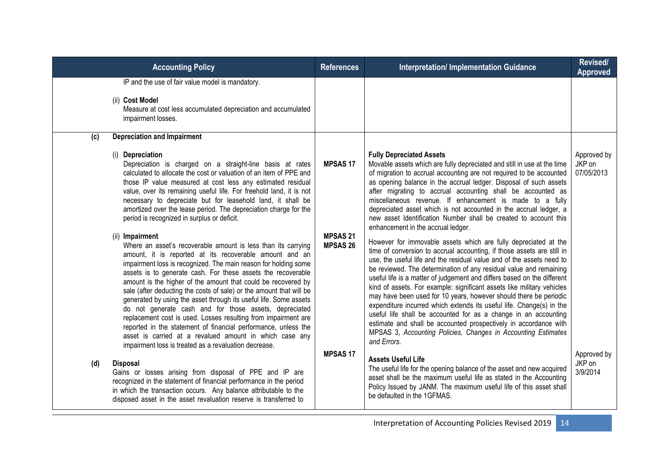| <b>Accounting Policy</b>                                                                                                                                                                                                                                                                                                                                                                                                                                                                                                                                                                                                                                                                                                                                                                                      | <b>References</b>                  | <b>Interpretation/ Implementation Guidance</b>                                                                                                                                                                                                                                                                                                                                                                                                                                                                                                                                                                                                                                                                                                                                                                    | Revised/<br><b>Approved</b>       |
|---------------------------------------------------------------------------------------------------------------------------------------------------------------------------------------------------------------------------------------------------------------------------------------------------------------------------------------------------------------------------------------------------------------------------------------------------------------------------------------------------------------------------------------------------------------------------------------------------------------------------------------------------------------------------------------------------------------------------------------------------------------------------------------------------------------|------------------------------------|-------------------------------------------------------------------------------------------------------------------------------------------------------------------------------------------------------------------------------------------------------------------------------------------------------------------------------------------------------------------------------------------------------------------------------------------------------------------------------------------------------------------------------------------------------------------------------------------------------------------------------------------------------------------------------------------------------------------------------------------------------------------------------------------------------------------|-----------------------------------|
| IP and the use of fair value model is mandatory.<br>(ii) Cost Model<br>Measure at cost less accumulated depreciation and accumulated<br>impairment losses.                                                                                                                                                                                                                                                                                                                                                                                                                                                                                                                                                                                                                                                    |                                    |                                                                                                                                                                                                                                                                                                                                                                                                                                                                                                                                                                                                                                                                                                                                                                                                                   |                                   |
| <b>Depreciation and Impairment</b><br>(c)<br>(i) Depreciation                                                                                                                                                                                                                                                                                                                                                                                                                                                                                                                                                                                                                                                                                                                                                 |                                    | <b>Fully Depreciated Assets</b>                                                                                                                                                                                                                                                                                                                                                                                                                                                                                                                                                                                                                                                                                                                                                                                   | Approved by                       |
| Depreciation is charged on a straight-line basis at rates<br>calculated to allocate the cost or valuation of an item of PPE and<br>those IP value measured at cost less any estimated residual<br>value, over its remaining useful life. For freehold land, it is not<br>necessary to depreciate but for leasehold land, it shall be<br>amortized over the lease period. The depreciation charge for the<br>period is recognized in surplus or deficit.                                                                                                                                                                                                                                                                                                                                                       | <b>MPSAS17</b>                     | Movable assets which are fully depreciated and still in use at the time<br>of migration to accrual accounting are not required to be accounted<br>as opening balance in the accrual ledger. Disposal of such assets<br>after migrating to accrual accounting shall be accounted as<br>miscellaneous revenue. If enhancement is made to a fully<br>depreciated asset which is not accounted in the accrual ledger, a<br>new asset Identification Number shall be created to account this<br>enhancement in the accrual ledger.                                                                                                                                                                                                                                                                                     | JKP on<br>07/05/2013              |
| (ii) Impairment<br>Where an asset's recoverable amount is less than its carrying<br>amount, it is reported at its recoverable amount and an<br>impairment loss is recognized. The main reason for holding some<br>assets is to generate cash. For these assets the recoverable<br>amount is the higher of the amount that could be recovered by<br>sale (after deducting the costs of sale) or the amount that will be<br>generated by using the asset through its useful life. Some assets<br>do not generate cash and for those assets, depreciated<br>replacement cost is used. Losses resulting from impairment are<br>reported in the statement of financial performance, unless the<br>asset is carried at a revalued amount in which case any<br>impairment loss is treated as a revaluation decrease. | <b>MPSAS 21</b><br><b>MPSAS 26</b> | However for immovable assets which are fully depreciated at the<br>time of conversion to accrual accounting, if those assets are still in<br>use, the useful life and the residual value and of the assets need to<br>be reviewed. The determination of any residual value and remaining<br>useful life is a matter of judgement and differs based on the different<br>kind of assets. For example: significant assets like military vehicles<br>may have been used for 10 years, however should there be periodic<br>expenditure incurred which extends its useful life. Change(s) in the<br>useful life shall be accounted for as a change in an accounting<br>estimate and shall be accounted prospectively in accordance with<br>MPSAS 3, Accounting Policies, Changes in Accounting Estimates<br>and Errors. |                                   |
| <b>Disposal</b><br>(d)<br>Gains or losses arising from disposal of PPE and IP are<br>recognized in the statement of financial performance in the period<br>in which the transaction occurs. Any balance attributable to the<br>disposed asset in the asset revaluation reserve is transferred to                                                                                                                                                                                                                                                                                                                                                                                                                                                                                                              | <b>MPSAS17</b>                     | <b>Assets Useful Life</b><br>The useful life for the opening balance of the asset and new acquired<br>asset shall be the maximum useful life as stated in the Accounting<br>Policy Issued by JANM. The maximum useful life of this asset shall<br>be defaulted in the 1GFMAS.                                                                                                                                                                                                                                                                                                                                                                                                                                                                                                                                     | Approved by<br>JKP on<br>3/9/2014 |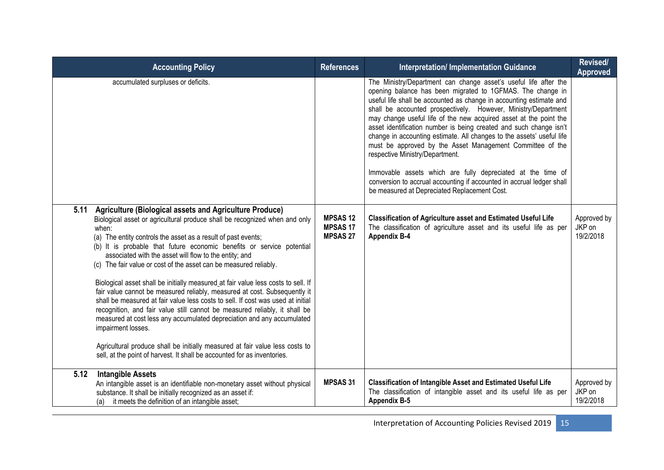| <b>Accounting Policy</b>                                                                                                                                                                                                                                                                                                                                                                                                                                                                                                                                                                                                                                                                                                                                                                                                                                                                                                                                                                                                       | <b>References</b>                                   | <b>Interpretation/ Implementation Guidance</b>                                                                                                                                                                                                                                                                                                                                                                                                                                                                                                                                                                                                                                                                                                                                      | Revised/<br><b>Approved</b>        |
|--------------------------------------------------------------------------------------------------------------------------------------------------------------------------------------------------------------------------------------------------------------------------------------------------------------------------------------------------------------------------------------------------------------------------------------------------------------------------------------------------------------------------------------------------------------------------------------------------------------------------------------------------------------------------------------------------------------------------------------------------------------------------------------------------------------------------------------------------------------------------------------------------------------------------------------------------------------------------------------------------------------------------------|-----------------------------------------------------|-------------------------------------------------------------------------------------------------------------------------------------------------------------------------------------------------------------------------------------------------------------------------------------------------------------------------------------------------------------------------------------------------------------------------------------------------------------------------------------------------------------------------------------------------------------------------------------------------------------------------------------------------------------------------------------------------------------------------------------------------------------------------------------|------------------------------------|
| accumulated surpluses or deficits.                                                                                                                                                                                                                                                                                                                                                                                                                                                                                                                                                                                                                                                                                                                                                                                                                                                                                                                                                                                             |                                                     | The Ministry/Department can change asset's useful life after the<br>opening balance has been migrated to 1GFMAS. The change in<br>useful life shall be accounted as change in accounting estimate and<br>shall be accounted prospectively. However, Ministry/Department<br>may change useful life of the new acquired asset at the point the<br>asset identification number is being created and such change isn't<br>change in accounting estimate. All changes to the assets' useful life<br>must be approved by the Asset Management Committee of the<br>respective Ministry/Department.<br>Immovable assets which are fully depreciated at the time of<br>conversion to accrual accounting if accounted in accrual ledger shall<br>be measured at Depreciated Replacement Cost. |                                    |
| 5.11<br>Agriculture (Biological assets and Agriculture Produce)<br>Biological asset or agricultural produce shall be recognized when and only<br>when:<br>(a) The entity controls the asset as a result of past events;<br>(b) It is probable that future economic benefits or service potential<br>associated with the asset will flow to the entity; and<br>(c) The fair value or cost of the asset can be measured reliably.<br>Biological asset shall be initially measured_at fair value less costs to sell. If<br>fair value cannot be measured reliably, measured at cost. Subsequently it<br>shall be measured at fair value less costs to sell. If cost was used at initial<br>recognition, and fair value still cannot be measured reliably, it shall be<br>measured at cost less any accumulated depreciation and any accumulated<br>impairment losses.<br>Agricultural produce shall be initially measured at fair value less costs to<br>sell, at the point of harvest. It shall be accounted for as inventories. | <b>MPSAS12</b><br><b>MPSAS17</b><br><b>MPSAS 27</b> | <b>Classification of Agriculture asset and Estimated Useful Life</b><br>The classification of agriculture asset and its useful life as per<br><b>Appendix B-4</b>                                                                                                                                                                                                                                                                                                                                                                                                                                                                                                                                                                                                                   | Approved by<br>JKP on<br>19/2/2018 |
| <b>Intangible Assets</b><br>5.12<br>An intangible asset is an identifiable non-monetary asset without physical<br>substance. It shall be initially recognized as an asset if:<br>it meets the definition of an intangible asset;<br>(a)                                                                                                                                                                                                                                                                                                                                                                                                                                                                                                                                                                                                                                                                                                                                                                                        | <b>MPSAS 31</b>                                     | <b>Classification of Intangible Asset and Estimated Useful Life</b><br>The classification of intangible asset and its useful life as per<br><b>Appendix B-5</b>                                                                                                                                                                                                                                                                                                                                                                                                                                                                                                                                                                                                                     | Approved by<br>JKP on<br>19/2/2018 |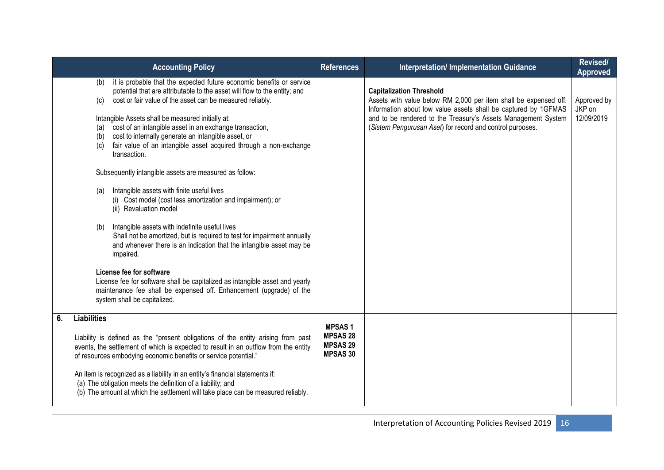|    | <b>Accounting Policy</b>                                                                                                                                                                                                                                                                                                                                                                                                                                                                                      | <b>References</b>                                                      | <b>Interpretation/ Implementation Guidance</b>                                                                                                                                                                                                                                                      | <b>Revised/</b><br><b>Approved</b>  |
|----|---------------------------------------------------------------------------------------------------------------------------------------------------------------------------------------------------------------------------------------------------------------------------------------------------------------------------------------------------------------------------------------------------------------------------------------------------------------------------------------------------------------|------------------------------------------------------------------------|-----------------------------------------------------------------------------------------------------------------------------------------------------------------------------------------------------------------------------------------------------------------------------------------------------|-------------------------------------|
|    | it is probable that the expected future economic benefits or service<br>(b)<br>potential that are attributable to the asset will flow to the entity; and<br>cost or fair value of the asset can be measured reliably.<br>(c)<br>Intangible Assets shall be measured initially at:<br>cost of an intangible asset in an exchange transaction,<br>(a)<br>cost to internally generate an intangible asset, or<br>(b)<br>fair value of an intangible asset acquired through a non-exchange<br>(c)<br>transaction. |                                                                        | <b>Capitalization Threshold</b><br>Assets with value below RM 2,000 per item shall be expensed off.<br>Information about low value assets shall be captured by 1GFMAS<br>and to be rendered to the Treasury's Assets Management System<br>(Sistem Pengurusan Aset) for record and control purposes. | Approved by<br>JKP on<br>12/09/2019 |
|    | Subsequently intangible assets are measured as follow:                                                                                                                                                                                                                                                                                                                                                                                                                                                        |                                                                        |                                                                                                                                                                                                                                                                                                     |                                     |
|    | Intangible assets with finite useful lives<br>(a)<br>(i) Cost model (cost less amortization and impairment); or<br>(ii) Revaluation model                                                                                                                                                                                                                                                                                                                                                                     |                                                                        |                                                                                                                                                                                                                                                                                                     |                                     |
|    | Intangible assets with indefinite useful lives<br>(b)<br>Shall not be amortized, but is required to test for impairment annually<br>and whenever there is an indication that the intangible asset may be<br>impaired.                                                                                                                                                                                                                                                                                         |                                                                        |                                                                                                                                                                                                                                                                                                     |                                     |
|    | License fee for software<br>License fee for software shall be capitalized as intangible asset and yearly<br>maintenance fee shall be expensed off. Enhancement (upgrade) of the<br>system shall be capitalized.                                                                                                                                                                                                                                                                                               |                                                                        |                                                                                                                                                                                                                                                                                                     |                                     |
| 6. | <b>Liabilities</b><br>Liability is defined as the "present obligations of the entity arising from past<br>events, the settlement of which is expected to result in an outflow from the entity<br>of resources embodying economic benefits or service potential."                                                                                                                                                                                                                                              | <b>MPSAS1</b><br><b>MPSAS 28</b><br><b>MPSAS 29</b><br><b>MPSAS 30</b> |                                                                                                                                                                                                                                                                                                     |                                     |
|    | An item is recognized as a liability in an entity's financial statements if:<br>(a) The obligation meets the definition of a liability; and<br>(b) The amount at which the settlement will take place can be measured reliably.                                                                                                                                                                                                                                                                               |                                                                        |                                                                                                                                                                                                                                                                                                     |                                     |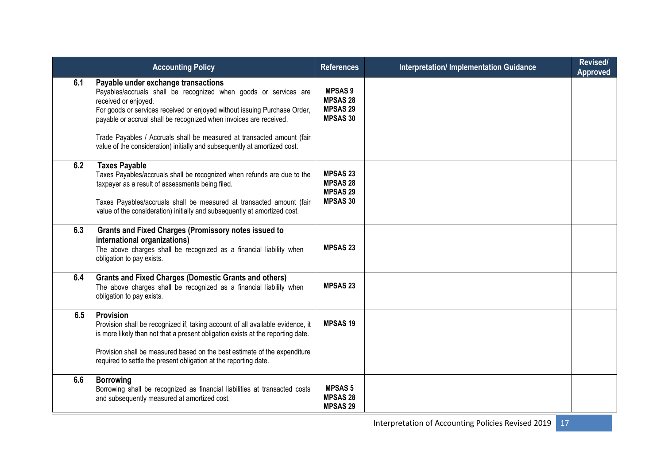|     | <b>Accounting Policy</b>                                                                                                                                                                                                                                                                                                                                                                                                                  | <b>References</b>                                                        | <b>Interpretation/Implementation Guidance</b> | Revised/<br>Approved |
|-----|-------------------------------------------------------------------------------------------------------------------------------------------------------------------------------------------------------------------------------------------------------------------------------------------------------------------------------------------------------------------------------------------------------------------------------------------|--------------------------------------------------------------------------|-----------------------------------------------|----------------------|
| 6.1 | Payable under exchange transactions<br>Payables/accruals shall be recognized when goods or services are<br>received or enjoyed.<br>For goods or services received or enjoyed without issuing Purchase Order,<br>payable or accrual shall be recognized when invoices are received.<br>Trade Payables / Accruals shall be measured at transacted amount (fair<br>value of the consideration) initially and subsequently at amortized cost. | <b>MPSAS 9</b><br><b>MPSAS 28</b><br><b>MPSAS 29</b><br><b>MPSAS 30</b>  |                                               |                      |
| 6.2 | <b>Taxes Payable</b><br>Taxes Payables/accruals shall be recognized when refunds are due to the<br>taxpayer as a result of assessments being filed.<br>Taxes Payables/accruals shall be measured at transacted amount (fair<br>value of the consideration) initially and subsequently at amortized cost.                                                                                                                                  | <b>MPSAS 23</b><br><b>MPSAS 28</b><br><b>MPSAS 29</b><br><b>MPSAS 30</b> |                                               |                      |
| 6.3 | <b>Grants and Fixed Charges (Promissory notes issued to</b><br>international organizations)<br>The above charges shall be recognized as a financial liability when<br>obligation to pay exists.                                                                                                                                                                                                                                           | <b>MPSAS 23</b>                                                          |                                               |                      |
| 6.4 | <b>Grants and Fixed Charges (Domestic Grants and others)</b><br>The above charges shall be recognized as a financial liability when<br>obligation to pay exists.                                                                                                                                                                                                                                                                          | <b>MPSAS 23</b>                                                          |                                               |                      |
| 6.5 | <b>Provision</b><br>Provision shall be recognized if, taking account of all available evidence, it<br>is more likely than not that a present obligation exists at the reporting date.<br>Provision shall be measured based on the best estimate of the expenditure<br>required to settle the present obligation at the reporting date.                                                                                                    | <b>MPSAS19</b>                                                           |                                               |                      |
| 6.6 | <b>Borrowing</b><br>Borrowing shall be recognized as financial liabilities at transacted costs<br>and subsequently measured at amortized cost.                                                                                                                                                                                                                                                                                            | <b>MPSAS 5</b><br><b>MPSAS 28</b><br><b>MPSAS 29</b>                     |                                               |                      |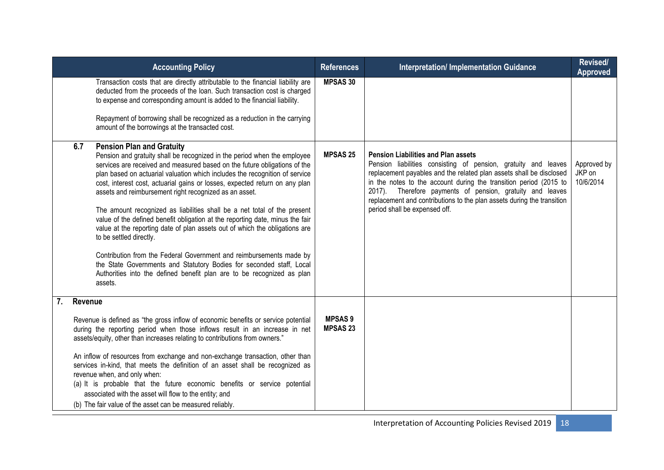|             | <b>Accounting Policy</b>                                                                                                                                                                                                                                                                                                                                                                                                                                                                                                                                                                                                                                                                                                                                                                                                                                                                                                     | <b>References</b>                | <b>Interpretation/ Implementation Guidance</b>                                                                                                                                                                                                                                                                                                                                                                                   | Revised/<br><b>Approved</b>        |
|-------------|------------------------------------------------------------------------------------------------------------------------------------------------------------------------------------------------------------------------------------------------------------------------------------------------------------------------------------------------------------------------------------------------------------------------------------------------------------------------------------------------------------------------------------------------------------------------------------------------------------------------------------------------------------------------------------------------------------------------------------------------------------------------------------------------------------------------------------------------------------------------------------------------------------------------------|----------------------------------|----------------------------------------------------------------------------------------------------------------------------------------------------------------------------------------------------------------------------------------------------------------------------------------------------------------------------------------------------------------------------------------------------------------------------------|------------------------------------|
|             | Transaction costs that are directly attributable to the financial liability are<br>deducted from the proceeds of the loan. Such transaction cost is charged<br>to expense and corresponding amount is added to the financial liability.<br>Repayment of borrowing shall be recognized as a reduction in the carrying<br>amount of the borrowings at the transacted cost.                                                                                                                                                                                                                                                                                                                                                                                                                                                                                                                                                     | <b>MPSAS 30</b>                  |                                                                                                                                                                                                                                                                                                                                                                                                                                  |                                    |
| 6.7         | <b>Pension Plan and Gratuity</b><br>Pension and gratuity shall be recognized in the period when the employee<br>services are received and measured based on the future obligations of the<br>plan based on actuarial valuation which includes the recognition of service<br>cost, interest cost, actuarial gains or losses, expected return on any plan<br>assets and reimbursement right recognized as an asset.<br>The amount recognized as liabilities shall be a net total of the present<br>value of the defined benefit obligation at the reporting date, minus the fair<br>value at the reporting date of plan assets out of which the obligations are<br>to be settled directly.<br>Contribution from the Federal Government and reimbursements made by<br>the State Governments and Statutory Bodies for seconded staff, Local<br>Authorities into the defined benefit plan are to be recognized as plan<br>assets. | <b>MPSAS 25</b>                  | <b>Pension Liabilities and Plan assets</b><br>Pension liabilities consisting of pension, gratuity and leaves<br>replacement payables and the related plan assets shall be disclosed<br>in the notes to the account during the transition period (2015 to<br>2017). Therefore payments of pension, gratuity and leaves<br>replacement and contributions to the plan assets during the transition<br>period shall be expensed off. | Approved by<br>JKP on<br>10/6/2014 |
| $7_{\cdot}$ | Revenue<br>Revenue is defined as "the gross inflow of economic benefits or service potential<br>during the reporting period when those inflows result in an increase in net<br>assets/equity, other than increases relating to contributions from owners."<br>An inflow of resources from exchange and non-exchange transaction, other than<br>services in-kind, that meets the definition of an asset shall be recognized as<br>revenue when, and only when:<br>(a) It is probable that the future economic benefits or service potential<br>associated with the asset will flow to the entity; and<br>(b) The fair value of the asset can be measured reliably.                                                                                                                                                                                                                                                            | <b>MPSAS9</b><br><b>MPSAS 23</b> |                                                                                                                                                                                                                                                                                                                                                                                                                                  |                                    |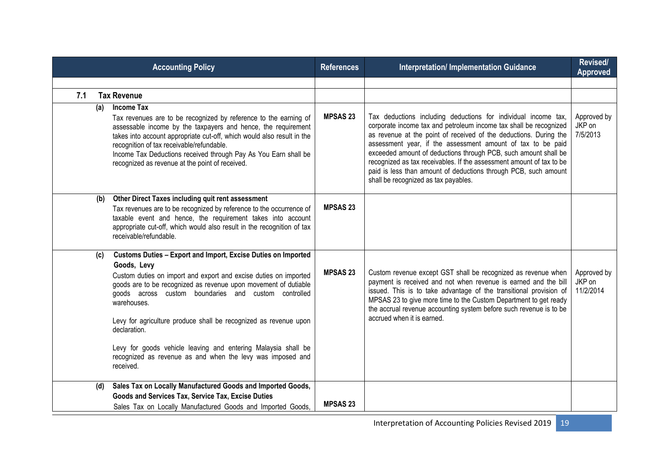|     | <b>Accounting Policy</b>                                                                                                                                                                                                                                                                                                                                                                                                                                                                                                   | <b>References</b> | <b>Interpretation/ Implementation Guidance</b>                                                                                                                                                                                                                                                                                                                                                                                                                                                                                | Revised/<br><b>Approved</b>        |
|-----|----------------------------------------------------------------------------------------------------------------------------------------------------------------------------------------------------------------------------------------------------------------------------------------------------------------------------------------------------------------------------------------------------------------------------------------------------------------------------------------------------------------------------|-------------------|-------------------------------------------------------------------------------------------------------------------------------------------------------------------------------------------------------------------------------------------------------------------------------------------------------------------------------------------------------------------------------------------------------------------------------------------------------------------------------------------------------------------------------|------------------------------------|
|     |                                                                                                                                                                                                                                                                                                                                                                                                                                                                                                                            |                   |                                                                                                                                                                                                                                                                                                                                                                                                                                                                                                                               |                                    |
| 7.1 | <b>Tax Revenue</b>                                                                                                                                                                                                                                                                                                                                                                                                                                                                                                         |                   |                                                                                                                                                                                                                                                                                                                                                                                                                                                                                                                               |                                    |
| (a) | <b>Income Tax</b><br>Tax revenues are to be recognized by reference to the earning of<br>assessable income by the taxpayers and hence, the requirement<br>takes into account appropriate cut-off, which would also result in the<br>recognition of tax receivable/refundable.<br>Income Tax Deductions received through Pay As You Earn shall be<br>recognized as revenue at the point of received.                                                                                                                        | <b>MPSAS 23</b>   | Tax deductions including deductions for individual income tax,<br>corporate income tax and petroleum income tax shall be recognized<br>as revenue at the point of received of the deductions. During the<br>assessment year, if the assessment amount of tax to be paid<br>exceeded amount of deductions through PCB, such amount shall be<br>recognized as tax receivables. If the assessment amount of tax to be<br>paid is less than amount of deductions through PCB, such amount<br>shall be recognized as tax payables. | Approved by<br>JKP on<br>7/5/2013  |
| (b) | Other Direct Taxes including quit rent assessment<br>Tax revenues are to be recognized by reference to the occurrence of<br>taxable event and hence, the requirement takes into account<br>appropriate cut-off, which would also result in the recognition of tax<br>receivable/refundable.                                                                                                                                                                                                                                | <b>MPSAS 23</b>   |                                                                                                                                                                                                                                                                                                                                                                                                                                                                                                                               |                                    |
| (c) | Customs Duties - Export and Import, Excise Duties on Imported<br>Goods, Levy<br>Custom duties on import and export and excise duties on imported<br>goods are to be recognized as revenue upon movement of dutiable<br>goods across custom boundaries and custom controlled<br>warehouses.<br>Levy for agriculture produce shall be recognized as revenue upon<br>declaration.<br>Levy for goods vehicle leaving and entering Malaysia shall be<br>recognized as revenue as and when the levy was imposed and<br>received. | <b>MPSAS 23</b>   | Custom revenue except GST shall be recognized as revenue when<br>payment is received and not when revenue is earned and the bill<br>issued. This is to take advantage of the transitional provision of<br>MPSAS 23 to give more time to the Custom Department to get ready<br>the accrual revenue accounting system before such revenue is to be<br>accrued when it is earned.                                                                                                                                                | Approved by<br>JKP on<br>11/2/2014 |
| (d) | Sales Tax on Locally Manufactured Goods and Imported Goods,<br>Goods and Services Tax, Service Tax, Excise Duties<br>Sales Tax on Locally Manufactured Goods and Imported Goods,                                                                                                                                                                                                                                                                                                                                           | <b>MPSAS 23</b>   |                                                                                                                                                                                                                                                                                                                                                                                                                                                                                                                               |                                    |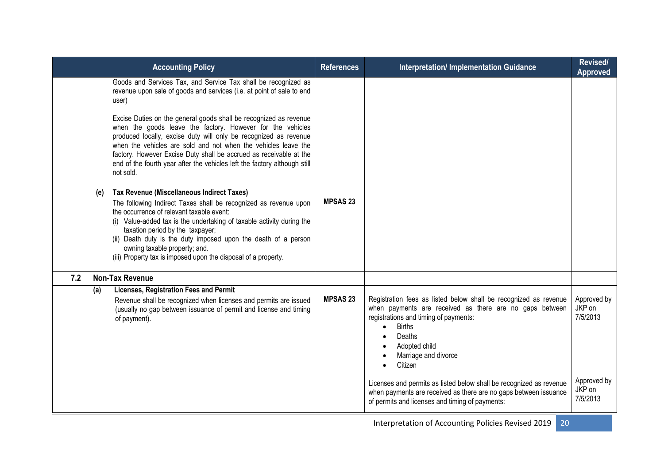|     |     | <b>Accounting Policy</b>                                                                                                                                                                                                                                                                                                                                                                                                                                                                                                                                                                  | <b>References</b> | <b>Interpretation/Implementation Guidance</b>                                                                                                                                                                                                                                                                                                                                                                                                                               | Revised/<br><b>Approved</b>                                            |
|-----|-----|-------------------------------------------------------------------------------------------------------------------------------------------------------------------------------------------------------------------------------------------------------------------------------------------------------------------------------------------------------------------------------------------------------------------------------------------------------------------------------------------------------------------------------------------------------------------------------------------|-------------------|-----------------------------------------------------------------------------------------------------------------------------------------------------------------------------------------------------------------------------------------------------------------------------------------------------------------------------------------------------------------------------------------------------------------------------------------------------------------------------|------------------------------------------------------------------------|
|     |     | Goods and Services Tax, and Service Tax shall be recognized as<br>revenue upon sale of goods and services (i.e. at point of sale to end<br>user)<br>Excise Duties on the general goods shall be recognized as revenue<br>when the goods leave the factory. However for the vehicles<br>produced locally, excise duty will only be recognized as revenue<br>when the vehicles are sold and not when the vehicles leave the<br>factory. However Excise Duty shall be accrued as receivable at the<br>end of the fourth year after the vehicles left the factory although still<br>not sold. |                   |                                                                                                                                                                                                                                                                                                                                                                                                                                                                             |                                                                        |
|     | (e) | Tax Revenue (Miscellaneous Indirect Taxes)<br>The following Indirect Taxes shall be recognized as revenue upon<br>the occurrence of relevant taxable event:<br>(i) Value-added tax is the undertaking of taxable activity during the<br>taxation period by the taxpayer;<br>(ii) Death duty is the duty imposed upon the death of a person<br>owning taxable property; and.<br>(iii) Property tax is imposed upon the disposal of a property.                                                                                                                                             | <b>MPSAS 23</b>   |                                                                                                                                                                                                                                                                                                                                                                                                                                                                             |                                                                        |
| 7.2 |     | <b>Non-Tax Revenue</b>                                                                                                                                                                                                                                                                                                                                                                                                                                                                                                                                                                    |                   |                                                                                                                                                                                                                                                                                                                                                                                                                                                                             |                                                                        |
|     | (a) | Licenses, Registration Fees and Permit<br>Revenue shall be recognized when licenses and permits are issued<br>(usually no gap between issuance of permit and license and timing<br>of payment).                                                                                                                                                                                                                                                                                                                                                                                           | <b>MPSAS 23</b>   | Registration fees as listed below shall be recognized as revenue<br>when payments are received as there are no gaps between<br>registrations and timing of payments:<br><b>Births</b><br>$\bullet$<br>Deaths<br>Adopted child<br>Marriage and divorce<br>Citizen<br>$\bullet$<br>Licenses and permits as listed below shall be recognized as revenue<br>when payments are received as there are no gaps between issuance<br>of permits and licenses and timing of payments: | Approved by<br>JKP on<br>7/5/2013<br>Approved by<br>JKP on<br>7/5/2013 |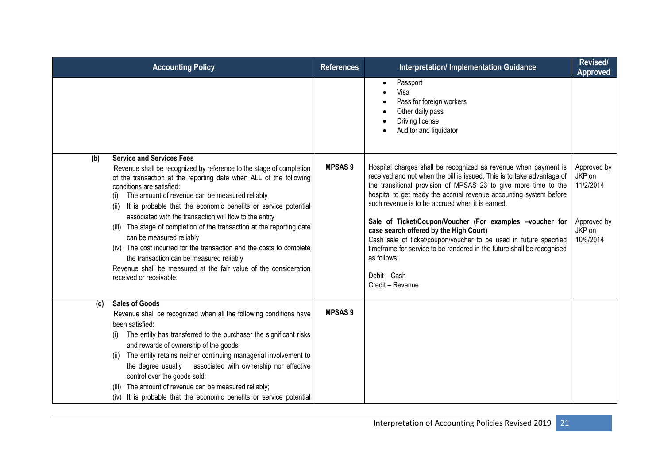| <b>Accounting Policy</b>                                                                                                                                                                                                                                                                                                                                                                                                                                                                                                                                                                                                                                                                                                         | <b>References</b> | <b>Interpretation/Implementation Guidance</b>                                                                                                                                                                                                                                                                                                                                                                                                                                                                                                                                                                                                  | Revised/<br><b>Approved</b>                                              |
|----------------------------------------------------------------------------------------------------------------------------------------------------------------------------------------------------------------------------------------------------------------------------------------------------------------------------------------------------------------------------------------------------------------------------------------------------------------------------------------------------------------------------------------------------------------------------------------------------------------------------------------------------------------------------------------------------------------------------------|-------------------|------------------------------------------------------------------------------------------------------------------------------------------------------------------------------------------------------------------------------------------------------------------------------------------------------------------------------------------------------------------------------------------------------------------------------------------------------------------------------------------------------------------------------------------------------------------------------------------------------------------------------------------------|--------------------------------------------------------------------------|
|                                                                                                                                                                                                                                                                                                                                                                                                                                                                                                                                                                                                                                                                                                                                  |                   | Passport<br>Visa<br>Pass for foreign workers<br>Other daily pass<br>Driving license<br>Auditor and liquidator                                                                                                                                                                                                                                                                                                                                                                                                                                                                                                                                  |                                                                          |
| <b>Service and Services Fees</b><br>(b)<br>Revenue shall be recognized by reference to the stage of completion<br>of the transaction at the reporting date when ALL of the following<br>conditions are satisfied:<br>The amount of revenue can be measured reliably<br>(i)<br>It is probable that the economic benefits or service potential<br>associated with the transaction will flow to the entity<br>(iii) The stage of completion of the transaction at the reporting date<br>can be measured reliably<br>(iv) The cost incurred for the transaction and the costs to complete<br>the transaction can be measured reliably<br>Revenue shall be measured at the fair value of the consideration<br>received or receivable. | <b>MPSAS9</b>     | Hospital charges shall be recognized as revenue when payment is<br>received and not when the bill is issued. This is to take advantage of<br>the transitional provision of MPSAS 23 to give more time to the<br>hospital to get ready the accrual revenue accounting system before<br>such revenue is to be accrued when it is earned.<br>Sale of Ticket/Coupon/Voucher (For examples -voucher for<br>case search offered by the High Court)<br>Cash sale of ticket/coupon/voucher to be used in future specified<br>timeframe for service to be rendered in the future shall be recognised<br>as follows:<br>Debit - Cash<br>Credit - Revenue | Approved by<br>JKP on<br>11/2/2014<br>Approved by<br>JKP on<br>10/6/2014 |
| <b>Sales of Goods</b><br>(c)<br>Revenue shall be recognized when all the following conditions have<br>been satisfied:<br>The entity has transferred to the purchaser the significant risks<br>(i)<br>and rewards of ownership of the goods;<br>The entity retains neither continuing managerial involvement to<br>associated with ownership nor effective<br>the degree usually<br>control over the goods sold;<br>The amount of revenue can be measured reliably;<br>(iv) It is probable that the economic benefits or service potential                                                                                                                                                                                        | <b>MPSAS9</b>     |                                                                                                                                                                                                                                                                                                                                                                                                                                                                                                                                                                                                                                                |                                                                          |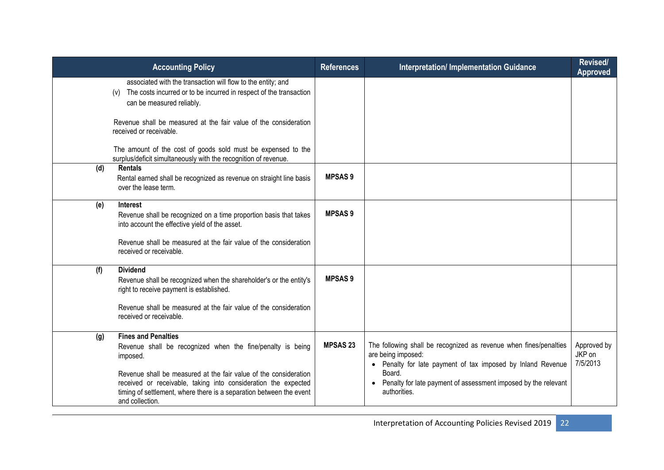|     | <b>Accounting Policy</b>                                                                                                                                                                                                                                                                                          | <b>References</b> | <b>Interpretation/Implementation Guidance</b>                                                                                                                                                                                                        | <b>Revised/</b><br><b>Approved</b> |
|-----|-------------------------------------------------------------------------------------------------------------------------------------------------------------------------------------------------------------------------------------------------------------------------------------------------------------------|-------------------|------------------------------------------------------------------------------------------------------------------------------------------------------------------------------------------------------------------------------------------------------|------------------------------------|
|     | associated with the transaction will flow to the entity; and<br>The costs incurred or to be incurred in respect of the transaction<br>(v)<br>can be measured reliably.                                                                                                                                            |                   |                                                                                                                                                                                                                                                      |                                    |
|     | Revenue shall be measured at the fair value of the consideration<br>received or receivable.                                                                                                                                                                                                                       |                   |                                                                                                                                                                                                                                                      |                                    |
|     | The amount of the cost of goods sold must be expensed to the<br>surplus/deficit simultaneously with the recognition of revenue.                                                                                                                                                                                   |                   |                                                                                                                                                                                                                                                      |                                    |
| (d) | <b>Rentals</b><br>Rental earned shall be recognized as revenue on straight line basis<br>over the lease term.                                                                                                                                                                                                     | <b>MPSAS9</b>     |                                                                                                                                                                                                                                                      |                                    |
| (e) | <b>Interest</b><br>Revenue shall be recognized on a time proportion basis that takes<br>into account the effective yield of the asset.                                                                                                                                                                            | <b>MPSAS9</b>     |                                                                                                                                                                                                                                                      |                                    |
|     | Revenue shall be measured at the fair value of the consideration<br>received or receivable.                                                                                                                                                                                                                       |                   |                                                                                                                                                                                                                                                      |                                    |
| (f) | <b>Dividend</b><br>Revenue shall be recognized when the shareholder's or the entity's<br>right to receive payment is established.                                                                                                                                                                                 | <b>MPSAS9</b>     |                                                                                                                                                                                                                                                      |                                    |
|     | Revenue shall be measured at the fair value of the consideration<br>received or receivable.                                                                                                                                                                                                                       |                   |                                                                                                                                                                                                                                                      |                                    |
| (g) | <b>Fines and Penalties</b><br>Revenue shall be recognized when the fine/penalty is being<br>imposed.<br>Revenue shall be measured at the fair value of the consideration<br>received or receivable, taking into consideration the expected<br>timing of settlement, where there is a separation between the event | <b>MPSAS 23</b>   | The following shall be recognized as revenue when fines/penalties<br>are being imposed:<br>• Penalty for late payment of tax imposed by Inland Revenue<br>Board.<br>• Penalty for late payment of assessment imposed by the relevant<br>authorities. | Approved by<br>JKP on<br>7/5/2013  |
|     | and collection.                                                                                                                                                                                                                                                                                                   |                   |                                                                                                                                                                                                                                                      |                                    |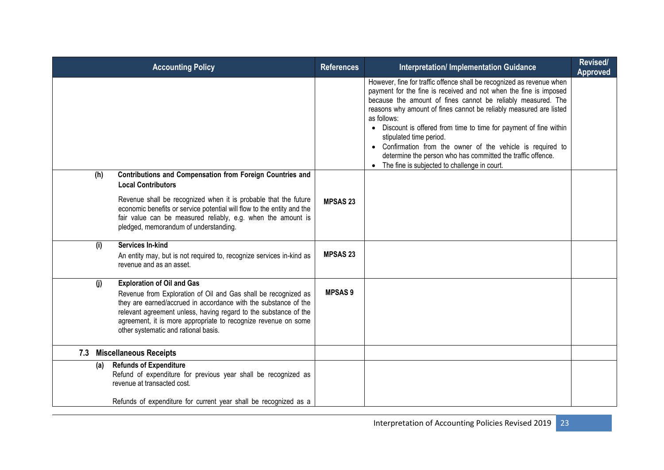|     | <b>Accounting Policy</b>                                                                                                                                                                                                                                                                                                                             | <b>References</b> | <b>Interpretation/ Implementation Guidance</b>                                                                                                                                                                                                                                                                                                                                                                                                                                                                                                                                              | Revised/<br><b>Approved</b> |
|-----|------------------------------------------------------------------------------------------------------------------------------------------------------------------------------------------------------------------------------------------------------------------------------------------------------------------------------------------------------|-------------------|---------------------------------------------------------------------------------------------------------------------------------------------------------------------------------------------------------------------------------------------------------------------------------------------------------------------------------------------------------------------------------------------------------------------------------------------------------------------------------------------------------------------------------------------------------------------------------------------|-----------------------------|
|     |                                                                                                                                                                                                                                                                                                                                                      |                   | However, fine for traffic offence shall be recognized as revenue when<br>payment for the fine is received and not when the fine is imposed<br>because the amount of fines cannot be reliably measured. The<br>reasons why amount of fines cannot be reliably measured are listed<br>as follows:<br>• Discount is offered from time to time for payment of fine within<br>stipulated time period.<br>• Confirmation from the owner of the vehicle is required to<br>determine the person who has committed the traffic offence.<br>The fine is subjected to challenge in court.<br>$\bullet$ |                             |
| (h) | Contributions and Compensation from Foreign Countries and<br><b>Local Contributors</b><br>Revenue shall be recognized when it is probable that the future<br>economic benefits or service potential will flow to the entity and the<br>fair value can be measured reliably, e.g. when the amount is<br>pledged, memorandum of understanding.         | <b>MPSAS 23</b>   |                                                                                                                                                                                                                                                                                                                                                                                                                                                                                                                                                                                             |                             |
| (i) | Services In-kind<br>An entity may, but is not required to, recognize services in-kind as<br>revenue and as an asset.                                                                                                                                                                                                                                 | <b>MPSAS 23</b>   |                                                                                                                                                                                                                                                                                                                                                                                                                                                                                                                                                                                             |                             |
| (i) | <b>Exploration of Oil and Gas</b><br>Revenue from Exploration of Oil and Gas shall be recognized as<br>they are earned/accrued in accordance with the substance of the<br>relevant agreement unless, having regard to the substance of the<br>agreement, it is more appropriate to recognize revenue on some<br>other systematic and rational basis. | <b>MPSAS 9</b>    |                                                                                                                                                                                                                                                                                                                                                                                                                                                                                                                                                                                             |                             |
|     | 7.3 Miscellaneous Receipts                                                                                                                                                                                                                                                                                                                           |                   |                                                                                                                                                                                                                                                                                                                                                                                                                                                                                                                                                                                             |                             |
| (a) | <b>Refunds of Expenditure</b><br>Refund of expenditure for previous year shall be recognized as<br>revenue at transacted cost.<br>Refunds of expenditure for current year shall be recognized as a                                                                                                                                                   |                   |                                                                                                                                                                                                                                                                                                                                                                                                                                                                                                                                                                                             |                             |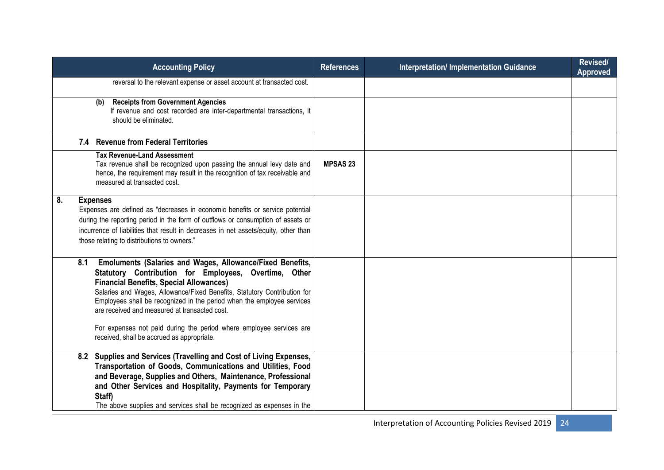|    | <b>Accounting Policy</b>                                                                                                                                                                                                                                                                                                                                                                                                                                                                                | <b>References</b> | <b>Interpretation/ Implementation Guidance</b> | Revised/<br><b>Approved</b> |
|----|---------------------------------------------------------------------------------------------------------------------------------------------------------------------------------------------------------------------------------------------------------------------------------------------------------------------------------------------------------------------------------------------------------------------------------------------------------------------------------------------------------|-------------------|------------------------------------------------|-----------------------------|
|    | reversal to the relevant expense or asset account at transacted cost.                                                                                                                                                                                                                                                                                                                                                                                                                                   |                   |                                                |                             |
|    | <b>Receipts from Government Agencies</b><br>(b)<br>If revenue and cost recorded are inter-departmental transactions, it<br>should be eliminated.                                                                                                                                                                                                                                                                                                                                                        |                   |                                                |                             |
|    | 7.4 Revenue from Federal Territories                                                                                                                                                                                                                                                                                                                                                                                                                                                                    |                   |                                                |                             |
|    | <b>Tax Revenue-Land Assessment</b><br>Tax revenue shall be recognized upon passing the annual levy date and<br>hence, the requirement may result in the recognition of tax receivable and<br>measured at transacted cost.                                                                                                                                                                                                                                                                               | <b>MPSAS 23</b>   |                                                |                             |
| 8. | <b>Expenses</b><br>Expenses are defined as "decreases in economic benefits or service potential<br>during the reporting period in the form of outflows or consumption of assets or<br>incurrence of liabilities that result in decreases in net assets/equity, other than<br>those relating to distributions to owners."                                                                                                                                                                                |                   |                                                |                             |
|    | Emoluments (Salaries and Wages, Allowance/Fixed Benefits,<br>8.1<br>Statutory Contribution for Employees, Overtime, Other<br><b>Financial Benefits, Special Allowances)</b><br>Salaries and Wages, Allowance/Fixed Benefits, Statutory Contribution for<br>Employees shall be recognized in the period when the employee services<br>are received and measured at transacted cost.<br>For expenses not paid during the period where employee services are<br>received, shall be accrued as appropriate. |                   |                                                |                             |
|    | Supplies and Services (Travelling and Cost of Living Expenses,<br>8.2<br>Transportation of Goods, Communications and Utilities, Food<br>and Beverage, Supplies and Others, Maintenance, Professional<br>and Other Services and Hospitality, Payments for Temporary<br>Staff)<br>The above supplies and services shall be recognized as expenses in the                                                                                                                                                  |                   |                                                |                             |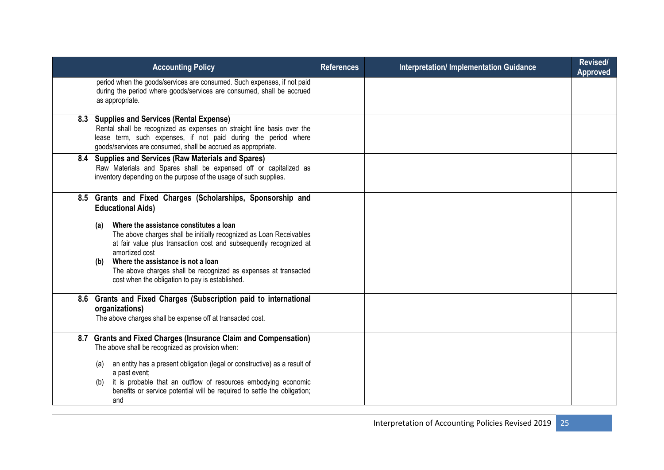| <b>Accounting Policy</b>                                                                                                                                                                                                                                                                                                                                                                                                                                                    | <b>References</b> | <b>Interpretation/Implementation Guidance</b> | <b>Revised/</b><br><b>Approved</b> |
|-----------------------------------------------------------------------------------------------------------------------------------------------------------------------------------------------------------------------------------------------------------------------------------------------------------------------------------------------------------------------------------------------------------------------------------------------------------------------------|-------------------|-----------------------------------------------|------------------------------------|
| period when the goods/services are consumed. Such expenses, if not paid<br>during the period where goods/services are consumed, shall be accrued<br>as appropriate.                                                                                                                                                                                                                                                                                                         |                   |                                               |                                    |
| 8.3 Supplies and Services (Rental Expense)<br>Rental shall be recognized as expenses on straight line basis over the<br>lease term, such expenses, if not paid during the period where<br>goods/services are consumed, shall be accrued as appropriate.                                                                                                                                                                                                                     |                   |                                               |                                    |
| 8.4 Supplies and Services (Raw Materials and Spares)<br>Raw Materials and Spares shall be expensed off or capitalized as<br>inventory depending on the purpose of the usage of such supplies.                                                                                                                                                                                                                                                                               |                   |                                               |                                    |
| 8.5 Grants and Fixed Charges (Scholarships, Sponsorship and<br><b>Educational Aids)</b><br>Where the assistance constitutes a loan<br>(a)<br>The above charges shall be initially recognized as Loan Receivables<br>at fair value plus transaction cost and subsequently recognized at<br>amortized cost<br>Where the assistance is not a loan<br>(b)<br>The above charges shall be recognized as expenses at transacted<br>cost when the obligation to pay is established. |                   |                                               |                                    |
| 8.6 Grants and Fixed Charges (Subscription paid to international<br>organizations)<br>The above charges shall be expense off at transacted cost.                                                                                                                                                                                                                                                                                                                            |                   |                                               |                                    |
| 8.7 Grants and Fixed Charges (Insurance Claim and Compensation)<br>The above shall be recognized as provision when:<br>an entity has a present obligation (legal or constructive) as a result of<br>(a)<br>a past event;<br>it is probable that an outflow of resources embodying economic<br>(b)<br>benefits or service potential will be required to settle the obligation;<br>and                                                                                        |                   |                                               |                                    |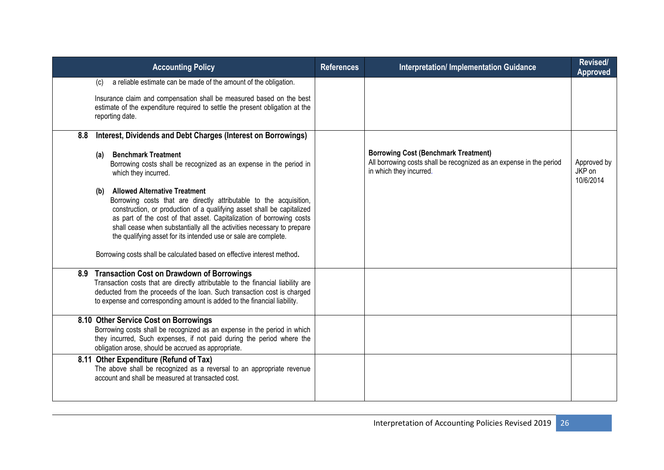| <b>Accounting Policy</b>                                                                                                                                                                                                                                                                                                                                                                                                                                                                                                                                                                                                                                                                               | <b>References</b> | <b>Interpretation/ Implementation Guidance</b>                                                                                                | Revised/<br>Approved               |
|--------------------------------------------------------------------------------------------------------------------------------------------------------------------------------------------------------------------------------------------------------------------------------------------------------------------------------------------------------------------------------------------------------------------------------------------------------------------------------------------------------------------------------------------------------------------------------------------------------------------------------------------------------------------------------------------------------|-------------------|-----------------------------------------------------------------------------------------------------------------------------------------------|------------------------------------|
| a reliable estimate can be made of the amount of the obligation.<br>(c)<br>Insurance claim and compensation shall be measured based on the best<br>estimate of the expenditure required to settle the present obligation at the<br>reporting date.                                                                                                                                                                                                                                                                                                                                                                                                                                                     |                   |                                                                                                                                               |                                    |
| Interest, Dividends and Debt Charges (Interest on Borrowings)<br>8.8<br><b>Benchmark Treatment</b><br>(a)<br>Borrowing costs shall be recognized as an expense in the period in<br>which they incurred.<br><b>Allowed Alternative Treatment</b><br>(b)<br>Borrowing costs that are directly attributable to the acquisition,<br>construction, or production of a qualifying asset shall be capitalized<br>as part of the cost of that asset. Capitalization of borrowing costs<br>shall cease when substantially all the activities necessary to prepare<br>the qualifying asset for its intended use or sale are complete.<br>Borrowing costs shall be calculated based on effective interest method. |                   | <b>Borrowing Cost (Benchmark Treatment)</b><br>All borrowing costs shall be recognized as an expense in the period<br>in which they incurred. | Approved by<br>JKP on<br>10/6/2014 |
| 8.9 Transaction Cost on Drawdown of Borrowings<br>Transaction costs that are directly attributable to the financial liability are<br>deducted from the proceeds of the loan. Such transaction cost is charged<br>to expense and corresponding amount is added to the financial liability.                                                                                                                                                                                                                                                                                                                                                                                                              |                   |                                                                                                                                               |                                    |
| 8.10 Other Service Cost on Borrowings<br>Borrowing costs shall be recognized as an expense in the period in which<br>they incurred, Such expenses, if not paid during the period where the<br>obligation arose, should be accrued as appropriate.                                                                                                                                                                                                                                                                                                                                                                                                                                                      |                   |                                                                                                                                               |                                    |
| 8.11 Other Expenditure (Refund of Tax)<br>The above shall be recognized as a reversal to an appropriate revenue<br>account and shall be measured at transacted cost.                                                                                                                                                                                                                                                                                                                                                                                                                                                                                                                                   |                   |                                                                                                                                               |                                    |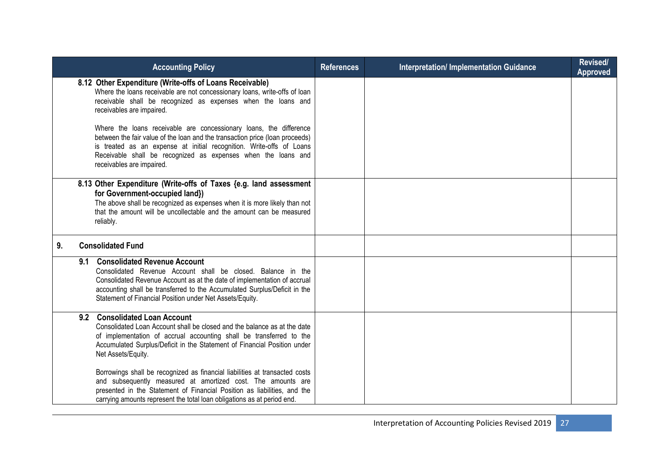|    | <b>Accounting Policy</b>                                                                                                                                                                                                                                                                                                 | <b>References</b> | <b>Interpretation/ Implementation Guidance</b> | Revised/<br><b>Approved</b> |
|----|--------------------------------------------------------------------------------------------------------------------------------------------------------------------------------------------------------------------------------------------------------------------------------------------------------------------------|-------------------|------------------------------------------------|-----------------------------|
|    | 8.12 Other Expenditure (Write-offs of Loans Receivable)<br>Where the loans receivable are not concessionary loans, write-offs of loan<br>receivable shall be recognized as expenses when the loans and<br>receivables are impaired.                                                                                      |                   |                                                |                             |
|    | Where the loans receivable are concessionary loans, the difference<br>between the fair value of the loan and the transaction price (loan proceeds)<br>is treated as an expense at initial recognition. Write-offs of Loans<br>Receivable shall be recognized as expenses when the loans and<br>receivables are impaired. |                   |                                                |                             |
|    | 8.13 Other Expenditure (Write-offs of Taxes {e.g. land assessment<br>for Government-occupied land})<br>The above shall be recognized as expenses when it is more likely than not<br>that the amount will be uncollectable and the amount can be measured<br>reliably.                                                    |                   |                                                |                             |
| 9. | <b>Consolidated Fund</b>                                                                                                                                                                                                                                                                                                 |                   |                                                |                             |
|    | 9.1 Consolidated Revenue Account<br>Consolidated Revenue Account shall be closed. Balance in the<br>Consolidated Revenue Account as at the date of implementation of accrual<br>accounting shall be transferred to the Accumulated Surplus/Deficit in the<br>Statement of Financial Position under Net Assets/Equity.    |                   |                                                |                             |
|    | 9.2 Consolidated Loan Account<br>Consolidated Loan Account shall be closed and the balance as at the date<br>of implementation of accrual accounting shall be transferred to the<br>Accumulated Surplus/Deficit in the Statement of Financial Position under<br>Net Assets/Equity.                                       |                   |                                                |                             |
|    | Borrowings shall be recognized as financial liabilities at transacted costs<br>and subsequently measured at amortized cost. The amounts are<br>presented in the Statement of Financial Position as liabilities, and the<br>carrying amounts represent the total loan obligations as at period end.                       |                   |                                                |                             |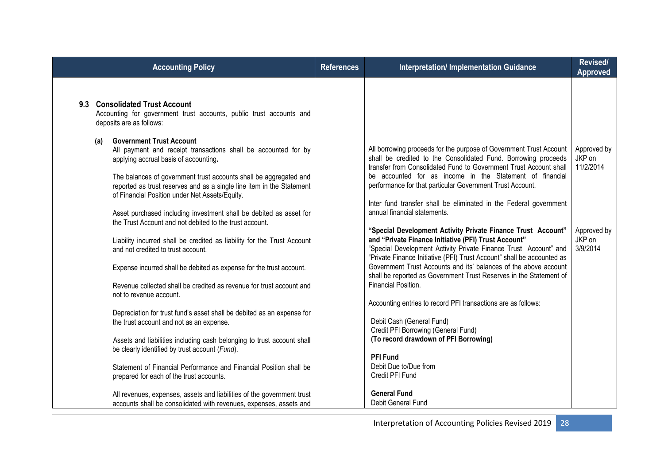| <b>Accounting Policy</b>                                                                                                                                                                                                                                                                                                                                                                                                                                                           | <b>References</b> | <b>Interpretation/Implementation Guidance</b>                                                                                                                                                                                                                                                                                                                                                                                                                                                        | Revised/<br><b>Approved</b>        |
|------------------------------------------------------------------------------------------------------------------------------------------------------------------------------------------------------------------------------------------------------------------------------------------------------------------------------------------------------------------------------------------------------------------------------------------------------------------------------------|-------------------|------------------------------------------------------------------------------------------------------------------------------------------------------------------------------------------------------------------------------------------------------------------------------------------------------------------------------------------------------------------------------------------------------------------------------------------------------------------------------------------------------|------------------------------------|
|                                                                                                                                                                                                                                                                                                                                                                                                                                                                                    |                   |                                                                                                                                                                                                                                                                                                                                                                                                                                                                                                      |                                    |
| <b>Consolidated Trust Account</b><br>9.3<br>Accounting for government trust accounts, public trust accounts and<br>deposits are as follows:                                                                                                                                                                                                                                                                                                                                        |                   |                                                                                                                                                                                                                                                                                                                                                                                                                                                                                                      |                                    |
| <b>Government Trust Account</b><br>(a)<br>All payment and receipt transactions shall be accounted for by<br>applying accrual basis of accounting.<br>The balances of government trust accounts shall be aggregated and<br>reported as trust reserves and as a single line item in the Statement<br>of Financial Position under Net Assets/Equity.<br>Asset purchased including investment shall be debited as asset for<br>the Trust Account and not debited to the trust account. |                   | All borrowing proceeds for the purpose of Government Trust Account<br>shall be credited to the Consolidated Fund. Borrowing proceeds<br>transfer from Consolidated Fund to Government Trust Account shall<br>be accounted for as income in the Statement of financial<br>performance for that particular Government Trust Account.<br>Inter fund transfer shall be eliminated in the Federal government<br>annual financial statements.                                                              | Approved by<br>JKP on<br>11/2/2014 |
| Liability incurred shall be credited as liability for the Trust Account<br>and not credited to trust account.<br>Expense incurred shall be debited as expense for the trust account.<br>Revenue collected shall be credited as revenue for trust account and<br>not to revenue account.                                                                                                                                                                                            |                   | "Special Development Activity Private Finance Trust Account"<br>and "Private Finance Initiative (PFI) Trust Account"<br>"Special Development Activity Private Finance Trust Account" and<br>"Private Finance Initiative (PFI) Trust Account" shall be accounted as<br>Government Trust Accounts and its' balances of the above account<br>shall be reported as Government Trust Reserves in the Statement of<br>Financial Position.<br>Accounting entries to record PFI transactions are as follows: | Approved by<br>JKP on<br>3/9/2014  |
| Depreciation for trust fund's asset shall be debited as an expense for<br>the trust account and not as an expense.<br>Assets and liabilities including cash belonging to trust account shall<br>be clearly identified by trust account (Fund).<br>Statement of Financial Performance and Financial Position shall be<br>prepared for each of the trust accounts.                                                                                                                   |                   | Debit Cash (General Fund)<br>Credit PFI Borrowing (General Fund)<br>(To record drawdown of PFI Borrowing)<br><b>PFI Fund</b><br>Debit Due to/Due from<br>Credit PFI Fund                                                                                                                                                                                                                                                                                                                             |                                    |
| All revenues, expenses, assets and liabilities of the government trust<br>accounts shall be consolidated with revenues, expenses, assets and                                                                                                                                                                                                                                                                                                                                       |                   | <b>General Fund</b><br>Debit General Fund                                                                                                                                                                                                                                                                                                                                                                                                                                                            |                                    |

Interpretation of Accounting Policies Revised 2019 28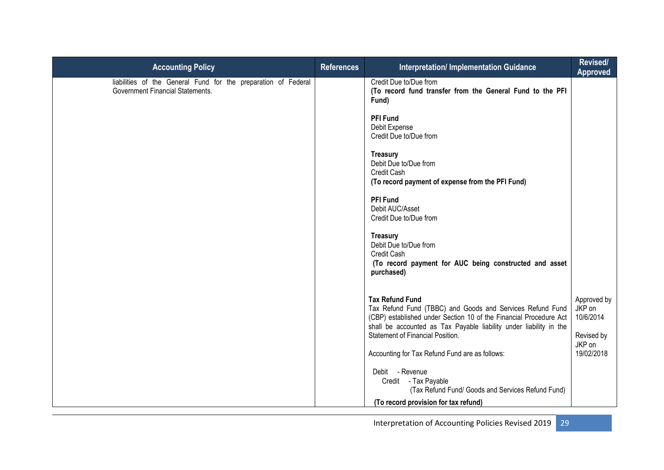| <b>Accounting Policy</b>                                                                                  | <b>References</b> | Interpretation/ Implementation Guidance                                                                                                                                                                                                                                                                                     | Revised/<br><b>Approved</b>                                              |
|-----------------------------------------------------------------------------------------------------------|-------------------|-----------------------------------------------------------------------------------------------------------------------------------------------------------------------------------------------------------------------------------------------------------------------------------------------------------------------------|--------------------------------------------------------------------------|
| liabilities of the General Fund for the preparation of Federal<br><b>Government Financial Statements.</b> |                   | Credit Due to/Due from<br>(To record fund transfer from the General Fund to the PFI<br>Fund)<br><b>PFI Fund</b><br>Debit Expense<br>Credit Due to/Due from<br><b>Treasury</b><br>Debit Due to/Due from<br>Credit Cash<br>(To record payment of expense from the PFI Fund)<br><b>PFI Fund</b>                                |                                                                          |
|                                                                                                           |                   | Debit AUC/Asset<br>Credit Due to/Due from<br><b>Treasury</b><br>Debit Due to/Due from<br>Credit Cash<br>(To record payment for AUC being constructed and asset<br>purchased)                                                                                                                                                |                                                                          |
|                                                                                                           |                   | <b>Tax Refund Fund</b><br>Tax Refund Fund (TBBC) and Goods and Services Refund Fund<br>(CBP) established under Section 10 of the Financial Procedure Act<br>shall be accounted as Tax Payable liability under liability in the<br><b>Statement of Financial Position.</b><br>Accounting for Tax Refund Fund are as follows: | Approved by<br>JKP on<br>10/6/2014<br>Revised by<br>JKP on<br>19/02/2018 |
|                                                                                                           |                   | Debit - Revenue<br>Credit - Tax Payable<br>(Tax Refund Fund/ Goods and Services Refund Fund)<br>(To record provision for tax refund)                                                                                                                                                                                        |                                                                          |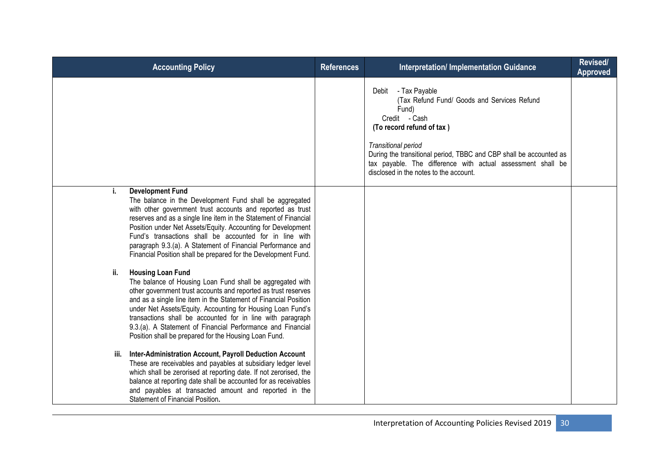| <b>Accounting Policy</b>                                                                                                                                                                                                                                                                                                                                                                                                                                                                | <b>References</b> | Interpretation/ Implementation Guidance                                                                                                                                                                                                                                                                                            | Revised/<br><b>Approved</b> |
|-----------------------------------------------------------------------------------------------------------------------------------------------------------------------------------------------------------------------------------------------------------------------------------------------------------------------------------------------------------------------------------------------------------------------------------------------------------------------------------------|-------------------|------------------------------------------------------------------------------------------------------------------------------------------------------------------------------------------------------------------------------------------------------------------------------------------------------------------------------------|-----------------------------|
|                                                                                                                                                                                                                                                                                                                                                                                                                                                                                         |                   | - Tax Payable<br>Debit<br>(Tax Refund Fund/ Goods and Services Refund<br>Fund)<br>Credit - Cash<br>(To record refund of tax)<br>Transitional period<br>During the transitional period, TBBC and CBP shall be accounted as<br>tax payable. The difference with actual assessment shall be<br>disclosed in the notes to the account. |                             |
| <b>Development Fund</b><br>j.<br>The balance in the Development Fund shall be aggregated<br>with other government trust accounts and reported as trust<br>reserves and as a single line item in the Statement of Financial<br>Position under Net Assets/Equity. Accounting for Development<br>Fund's transactions shall be accounted for in line with<br>paragraph 9.3.(a). A Statement of Financial Performance and<br>Financial Position shall be prepared for the Development Fund.  |                   |                                                                                                                                                                                                                                                                                                                                    |                             |
| <b>Housing Loan Fund</b><br>ii.<br>The balance of Housing Loan Fund shall be aggregated with<br>other government trust accounts and reported as trust reserves<br>and as a single line item in the Statement of Financial Position<br>under Net Assets/Equity. Accounting for Housing Loan Fund's<br>transactions shall be accounted for in line with paragraph<br>9.3.(a). A Statement of Financial Performance and Financial<br>Position shall be prepared for the Housing Loan Fund. |                   |                                                                                                                                                                                                                                                                                                                                    |                             |
| iii. Inter-Administration Account, Payroll Deduction Account<br>These are receivables and payables at subsidiary ledger level<br>which shall be zerorised at reporting date. If not zerorised, the<br>balance at reporting date shall be accounted for as receivables<br>and payables at transacted amount and reported in the<br>Statement of Financial Position.                                                                                                                      |                   |                                                                                                                                                                                                                                                                                                                                    |                             |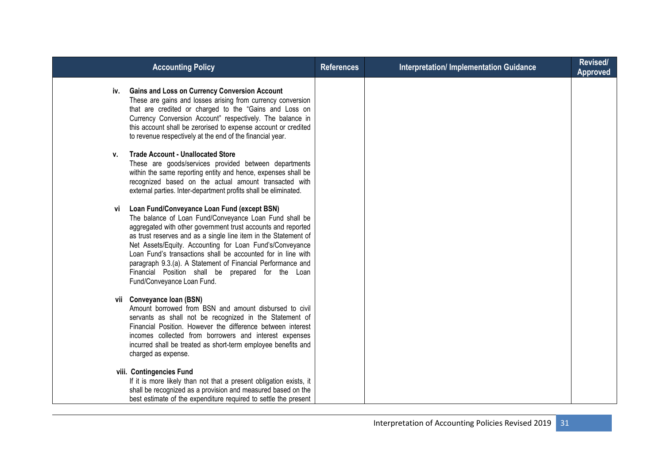| <b>Accounting Policy</b>                         |                                                                                                                                                                                                                                                                                                                                                                                                                                                                                          | <b>References</b> | <b>Interpretation/ Implementation Guidance</b> | Revised/<br><b>Approved</b> |
|--------------------------------------------------|------------------------------------------------------------------------------------------------------------------------------------------------------------------------------------------------------------------------------------------------------------------------------------------------------------------------------------------------------------------------------------------------------------------------------------------------------------------------------------------|-------------------|------------------------------------------------|-----------------------------|
| iv.                                              | <b>Gains and Loss on Currency Conversion Account</b><br>These are gains and losses arising from currency conversion<br>that are credited or charged to the "Gains and Loss on<br>Currency Conversion Account" respectively. The balance in<br>this account shall be zerorised to expense account or credited<br>to revenue respectively at the end of the financial year.                                                                                                                |                   |                                                |                             |
| <b>Trade Account - Unallocated Store</b><br>v.   | These are goods/services provided between departments<br>within the same reporting entity and hence, expenses shall be<br>recognized based on the actual amount transacted with<br>external parties. Inter-department profits shall be eliminated.                                                                                                                                                                                                                                       |                   |                                                |                             |
| Vİ<br>Fund/Conveyance Loan Fund.                 | Loan Fund/Conveyance Loan Fund (except BSN)<br>The balance of Loan Fund/Conveyance Loan Fund shall be<br>aggregated with other government trust accounts and reported<br>as trust reserves and as a single line item in the Statement of<br>Net Assets/Equity. Accounting for Loan Fund's/Conveyance<br>Loan Fund's transactions shall be accounted for in line with<br>paragraph 9.3.(a). A Statement of Financial Performance and<br>Financial Position shall be prepared for the Loan |                   |                                                |                             |
| vii Conveyance Ioan (BSN)<br>charged as expense. | Amount borrowed from BSN and amount disbursed to civil<br>servants as shall not be recognized in the Statement of<br>Financial Position. However the difference between interest<br>incomes collected from borrowers and interest expenses<br>incurred shall be treated as short-term employee benefits and                                                                                                                                                                              |                   |                                                |                             |
| viii. Contingencies Fund                         | If it is more likely than not that a present obligation exists, it<br>shall be recognized as a provision and measured based on the<br>best estimate of the expenditure required to settle the present                                                                                                                                                                                                                                                                                    |                   |                                                |                             |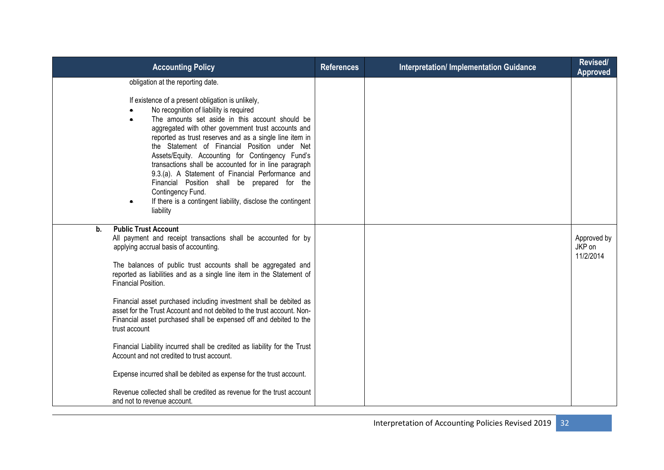| <b>Accounting Policy</b>                                                                                                                                                                                                                                                                                                                                                                                                                                                                                                                                                                                                                                                                                                                                                                                                                                      | <b>References</b> | <b>Interpretation/Implementation Guidance</b> | Revised/<br><b>Approved</b>        |
|---------------------------------------------------------------------------------------------------------------------------------------------------------------------------------------------------------------------------------------------------------------------------------------------------------------------------------------------------------------------------------------------------------------------------------------------------------------------------------------------------------------------------------------------------------------------------------------------------------------------------------------------------------------------------------------------------------------------------------------------------------------------------------------------------------------------------------------------------------------|-------------------|-----------------------------------------------|------------------------------------|
| obligation at the reporting date.<br>If existence of a present obligation is unlikely,<br>No recognition of liability is required<br>The amounts set aside in this account should be<br>$\bullet$<br>aggregated with other government trust accounts and<br>reported as trust reserves and as a single line item in<br>the Statement of Financial Position under Net<br>Assets/Equity. Accounting for Contingency Fund's<br>transactions shall be accounted for in line paragraph<br>9.3.(a). A Statement of Financial Performance and<br>Financial Position shall be prepared for the<br>Contingency Fund.<br>If there is a contingent liability, disclose the contingent<br>liability                                                                                                                                                                       |                   |                                               |                                    |
| <b>Public Trust Account</b><br>b.<br>All payment and receipt transactions shall be accounted for by<br>applying accrual basis of accounting.<br>The balances of public trust accounts shall be aggregated and<br>reported as liabilities and as a single line item in the Statement of<br>Financial Position.<br>Financial asset purchased including investment shall be debited as<br>asset for the Trust Account and not debited to the trust account. Non-<br>Financial asset purchased shall be expensed off and debited to the<br>trust account<br>Financial Liability incurred shall be credited as liability for the Trust<br>Account and not credited to trust account.<br>Expense incurred shall be debited as expense for the trust account.<br>Revenue collected shall be credited as revenue for the trust account<br>and not to revenue account. |                   |                                               | Approved by<br>JKP on<br>11/2/2014 |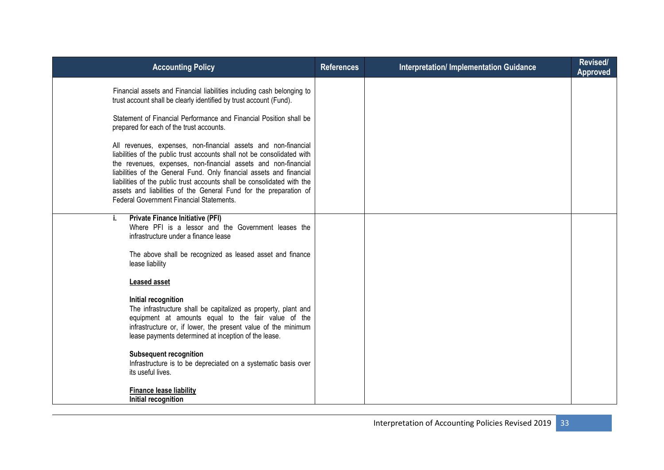| <b>Accounting Policy</b>                                                                                                                                                                                                                                                                                                                                                                                                                                                               | <b>References</b> | <b>Interpretation/ Implementation Guidance</b> | Revised/<br><b>Approved</b> |
|----------------------------------------------------------------------------------------------------------------------------------------------------------------------------------------------------------------------------------------------------------------------------------------------------------------------------------------------------------------------------------------------------------------------------------------------------------------------------------------|-------------------|------------------------------------------------|-----------------------------|
| Financial assets and Financial liabilities including cash belonging to<br>trust account shall be clearly identified by trust account (Fund).                                                                                                                                                                                                                                                                                                                                           |                   |                                                |                             |
| Statement of Financial Performance and Financial Position shall be<br>prepared for each of the trust accounts.                                                                                                                                                                                                                                                                                                                                                                         |                   |                                                |                             |
| All revenues, expenses, non-financial assets and non-financial<br>liabilities of the public trust accounts shall not be consolidated with<br>the revenues, expenses, non-financial assets and non-financial<br>liabilities of the General Fund. Only financial assets and financial<br>liabilities of the public trust accounts shall be consolidated with the<br>assets and liabilities of the General Fund for the preparation of<br><b>Federal Government Financial Statements.</b> |                   |                                                |                             |
| <b>Private Finance Initiative (PFI)</b><br>i.<br>Where PFI is a lessor and the Government leases the<br>infrastructure under a finance lease                                                                                                                                                                                                                                                                                                                                           |                   |                                                |                             |
| The above shall be recognized as leased asset and finance<br>lease liability                                                                                                                                                                                                                                                                                                                                                                                                           |                   |                                                |                             |
| <b>Leased asset</b>                                                                                                                                                                                                                                                                                                                                                                                                                                                                    |                   |                                                |                             |
| Initial recognition<br>The infrastructure shall be capitalized as property, plant and<br>equipment at amounts equal to the fair value of the<br>infrastructure or, if lower, the present value of the minimum<br>lease payments determined at inception of the lease.                                                                                                                                                                                                                  |                   |                                                |                             |
| <b>Subsequent recognition</b><br>Infrastructure is to be depreciated on a systematic basis over<br>its useful lives.                                                                                                                                                                                                                                                                                                                                                                   |                   |                                                |                             |
| <b>Finance lease liability</b><br>Initial recognition                                                                                                                                                                                                                                                                                                                                                                                                                                  |                   |                                                |                             |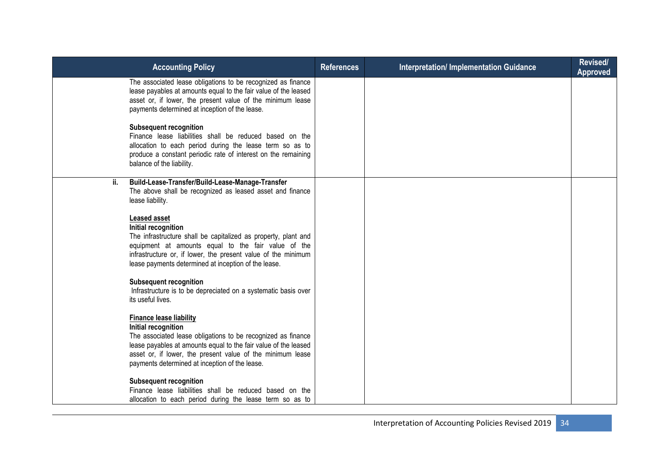| <b>Accounting Policy</b>                                                                                                                                                                                                                                                                                 | <b>References</b> | <b>Interpretation/ Implementation Guidance</b> | Revised/<br><b>Approved</b> |
|----------------------------------------------------------------------------------------------------------------------------------------------------------------------------------------------------------------------------------------------------------------------------------------------------------|-------------------|------------------------------------------------|-----------------------------|
| The associated lease obligations to be recognized as finance<br>lease payables at amounts equal to the fair value of the leased<br>asset or, if lower, the present value of the minimum lease<br>payments determined at inception of the lease.                                                          |                   |                                                |                             |
| <b>Subsequent recognition</b><br>Finance lease liabilities shall be reduced based on the<br>allocation to each period during the lease term so as to<br>produce a constant periodic rate of interest on the remaining<br>balance of the liability.                                                       |                   |                                                |                             |
| Build-Lease-Transfer/Build-Lease-Manage-Transfer<br>ii.<br>The above shall be recognized as leased asset and finance<br>lease liability.                                                                                                                                                                 |                   |                                                |                             |
| <b>Leased asset</b><br>Initial recognition<br>The infrastructure shall be capitalized as property, plant and<br>equipment at amounts equal to the fair value of the<br>infrastructure or, if lower, the present value of the minimum<br>lease payments determined at inception of the lease.             |                   |                                                |                             |
| <b>Subsequent recognition</b><br>Infrastructure is to be depreciated on a systematic basis over<br>its useful lives.                                                                                                                                                                                     |                   |                                                |                             |
| <b>Finance lease liability</b><br>Initial recognition<br>The associated lease obligations to be recognized as finance<br>lease payables at amounts equal to the fair value of the leased<br>asset or, if lower, the present value of the minimum lease<br>payments determined at inception of the lease. |                   |                                                |                             |
| <b>Subsequent recognition</b><br>Finance lease liabilities shall be reduced based on the<br>allocation to each period during the lease term so as to                                                                                                                                                     |                   |                                                |                             |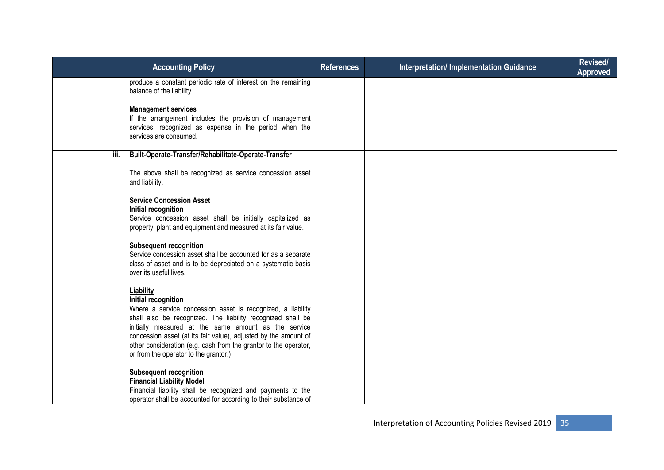|      | <b>Accounting Policy</b>                                                                                                                                                                                                                                                                                                                                                                               | <b>References</b> | <b>Interpretation/ Implementation Guidance</b> | Revised/<br><b>Approved</b> |
|------|--------------------------------------------------------------------------------------------------------------------------------------------------------------------------------------------------------------------------------------------------------------------------------------------------------------------------------------------------------------------------------------------------------|-------------------|------------------------------------------------|-----------------------------|
|      | produce a constant periodic rate of interest on the remaining<br>balance of the liability.                                                                                                                                                                                                                                                                                                             |                   |                                                |                             |
|      | <b>Management services</b><br>If the arrangement includes the provision of management<br>services, recognized as expense in the period when the<br>services are consumed.                                                                                                                                                                                                                              |                   |                                                |                             |
| iii. | Built-Operate-Transfer/Rehabilitate-Operate-Transfer                                                                                                                                                                                                                                                                                                                                                   |                   |                                                |                             |
|      | The above shall be recognized as service concession asset<br>and liability.                                                                                                                                                                                                                                                                                                                            |                   |                                                |                             |
|      | <b>Service Concession Asset</b><br>Initial recognition<br>Service concession asset shall be initially capitalized as<br>property, plant and equipment and measured at its fair value.                                                                                                                                                                                                                  |                   |                                                |                             |
|      | <b>Subsequent recognition</b><br>Service concession asset shall be accounted for as a separate<br>class of asset and is to be depreciated on a systematic basis<br>over its useful lives.                                                                                                                                                                                                              |                   |                                                |                             |
|      | Liability<br>Initial recognition<br>Where a service concession asset is recognized, a liability<br>shall also be recognized. The liability recognized shall be<br>initially measured at the same amount as the service<br>concession asset (at its fair value), adjusted by the amount of<br>other consideration (e.g. cash from the grantor to the operator,<br>or from the operator to the grantor.) |                   |                                                |                             |
|      | <b>Subsequent recognition</b><br><b>Financial Liability Model</b><br>Financial liability shall be recognized and payments to the<br>operator shall be accounted for according to their substance of                                                                                                                                                                                                    |                   |                                                |                             |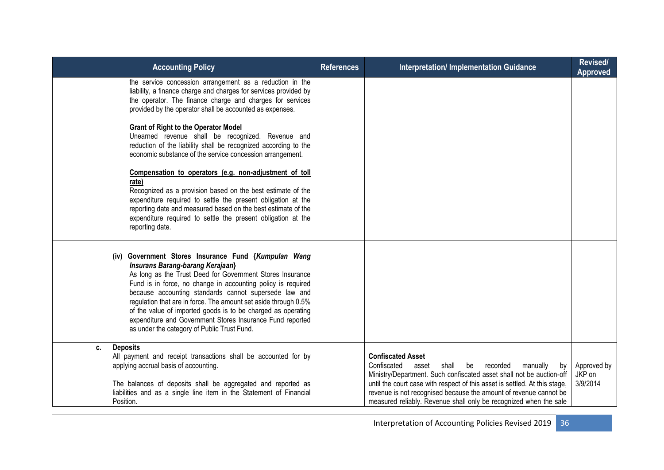| <b>Accounting Policy</b>                                                                                                                                                                                                                                                                                                                                                                                                                                                                                                              | <b>References</b> | <b>Interpretation/Implementation Guidance</b>                                                                                                                                                                                                                                                                                                                                                 | Revised/<br><b>Approved</b>       |
|---------------------------------------------------------------------------------------------------------------------------------------------------------------------------------------------------------------------------------------------------------------------------------------------------------------------------------------------------------------------------------------------------------------------------------------------------------------------------------------------------------------------------------------|-------------------|-----------------------------------------------------------------------------------------------------------------------------------------------------------------------------------------------------------------------------------------------------------------------------------------------------------------------------------------------------------------------------------------------|-----------------------------------|
| the service concession arrangement as a reduction in the<br>liability, a finance charge and charges for services provided by<br>the operator. The finance charge and charges for services<br>provided by the operator shall be accounted as expenses.                                                                                                                                                                                                                                                                                 |                   |                                                                                                                                                                                                                                                                                                                                                                                               |                                   |
| <b>Grant of Right to the Operator Model</b><br>Unearned revenue shall be recognized. Revenue and<br>reduction of the liability shall be recognized according to the<br>economic substance of the service concession arrangement.                                                                                                                                                                                                                                                                                                      |                   |                                                                                                                                                                                                                                                                                                                                                                                               |                                   |
| Compensation to operators (e.g. non-adjustment of toll<br>rate)<br>Recognized as a provision based on the best estimate of the<br>expenditure required to settle the present obligation at the<br>reporting date and measured based on the best estimate of the<br>expenditure required to settle the present obligation at the<br>reporting date.                                                                                                                                                                                    |                   |                                                                                                                                                                                                                                                                                                                                                                                               |                                   |
| (iv) Government Stores Insurance Fund {Kumpulan Wang<br><b>Insurans Barang-barang Kerajaan</b> }<br>As long as the Trust Deed for Government Stores Insurance<br>Fund is in force, no change in accounting policy is required<br>because accounting standards cannot supersede law and<br>regulation that are in force. The amount set aside through 0.5%<br>of the value of imported goods is to be charged as operating<br>expenditure and Government Stores Insurance Fund reported<br>as under the category of Public Trust Fund. |                   |                                                                                                                                                                                                                                                                                                                                                                                               |                                   |
| <b>Deposits</b><br>C.<br>All payment and receipt transactions shall be accounted for by<br>applying accrual basis of accounting.<br>The balances of deposits shall be aggregated and reported as<br>liabilities and as a single line item in the Statement of Financial<br>Position.                                                                                                                                                                                                                                                  |                   | <b>Confiscated Asset</b><br>Confiscated<br>shall<br>recorded<br>asset<br>be<br>manually<br>by<br>Ministry/Department. Such confiscated asset shall not be auction-off<br>until the court case with respect of this asset is settled. At this stage,<br>revenue is not recognised because the amount of revenue cannot be<br>measured reliably. Revenue shall only be recognized when the sale | Approved by<br>JKP on<br>3/9/2014 |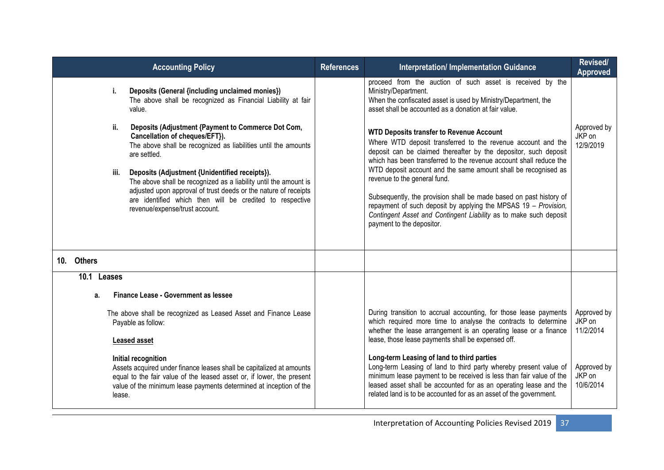|            |             | <b>Accounting Policy</b>                                                                                                                                                                                                                                                            | <b>References</b> | <b>Interpretation/ Implementation Guidance</b>                                                                                                                                                                                                                                                                                            | Revised/<br><b>Approved</b>        |
|------------|-------------|-------------------------------------------------------------------------------------------------------------------------------------------------------------------------------------------------------------------------------------------------------------------------------------|-------------------|-------------------------------------------------------------------------------------------------------------------------------------------------------------------------------------------------------------------------------------------------------------------------------------------------------------------------------------------|------------------------------------|
|            | i.          | Deposits (General {including unclaimed monies})<br>The above shall be recognized as Financial Liability at fair<br>value.                                                                                                                                                           |                   | proceed from the auction of such asset is received by the<br>Ministry/Department.<br>When the confiscated asset is used by Ministry/Department, the<br>asset shall be accounted as a donation at fair value.                                                                                                                              |                                    |
|            | ii.         | Deposits (Adjustment {Payment to Commerce Dot Com,<br>Cancellation of cheques/EFT}).<br>The above shall be recognized as liabilities until the amounts<br>are settled.                                                                                                              |                   | <b>WTD Deposits transfer to Revenue Account</b><br>Where WTD deposit transferred to the revenue account and the<br>deposit can be claimed thereafter by the depositor, such deposit<br>which has been transferred to the revenue account shall reduce the                                                                                 | Approved by<br>JKP on<br>12/9/2019 |
|            | iii.        | Deposits (Adjustment {Unidentified receipts}).<br>The above shall be recognized as a liability until the amount is<br>adjusted upon approval of trust deeds or the nature of receipts<br>are identified which then will be credited to respective<br>revenue/expense/trust account. |                   | WTD deposit account and the same amount shall be recognised as<br>revenue to the general fund.<br>Subsequently, the provision shall be made based on past history of<br>repayment of such deposit by applying the MPSAS 19 - Provision,<br>Contingent Asset and Contingent Liability as to make such deposit<br>payment to the depositor. |                                    |
| 10. Others |             |                                                                                                                                                                                                                                                                                     |                   |                                                                                                                                                                                                                                                                                                                                           |                                    |
|            | 10.1 Leases |                                                                                                                                                                                                                                                                                     |                   |                                                                                                                                                                                                                                                                                                                                           |                                    |
|            | a.          | Finance Lease - Government as lessee                                                                                                                                                                                                                                                |                   |                                                                                                                                                                                                                                                                                                                                           |                                    |
|            |             | The above shall be recognized as Leased Asset and Finance Lease<br>Payable as follow:<br><b>Leased asset</b>                                                                                                                                                                        |                   | During transition to accrual accounting, for those lease payments<br>which required more time to analyse the contracts to determine<br>whether the lease arrangement is an operating lease or a finance<br>lease, those lease payments shall be expensed off.                                                                             | Approved by<br>JKP on<br>11/2/2014 |
|            | lease.      | Initial recognition<br>Assets acquired under finance leases shall be capitalized at amounts<br>equal to the fair value of the leased asset or, if lower, the present<br>value of the minimum lease payments determined at inception of the                                          |                   | Long-term Leasing of land to third parties<br>Long-term Leasing of land to third party whereby present value of<br>minimum lease payment to be received is less than fair value of the<br>leased asset shall be accounted for as an operating lease and the<br>related land is to be accounted for as an asset of the government.         | Approved by<br>JKP on<br>10/6/2014 |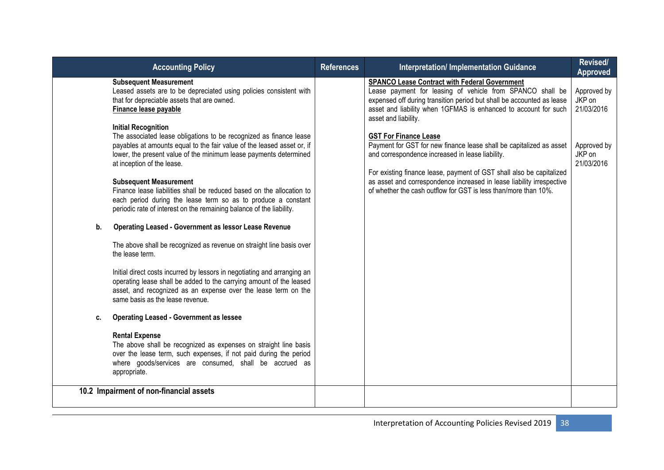| <b>Accounting Policy</b>                                                                                                                                                                                                                                                                                                                                                                                                                                                                                                                                                                                                                                                                                                                                                                                                                                                                                                                                                                                                                                                                                                                                                                                                                                                                                                                                                                                                                      | <b>References</b> | <b>Interpretation/ Implementation Guidance</b>                                                                                                                                                                                                                                                                                                                                                                                                                                                                                                                                                                                                                       | Revised/<br><b>Approved</b>                                                |
|-----------------------------------------------------------------------------------------------------------------------------------------------------------------------------------------------------------------------------------------------------------------------------------------------------------------------------------------------------------------------------------------------------------------------------------------------------------------------------------------------------------------------------------------------------------------------------------------------------------------------------------------------------------------------------------------------------------------------------------------------------------------------------------------------------------------------------------------------------------------------------------------------------------------------------------------------------------------------------------------------------------------------------------------------------------------------------------------------------------------------------------------------------------------------------------------------------------------------------------------------------------------------------------------------------------------------------------------------------------------------------------------------------------------------------------------------|-------------------|----------------------------------------------------------------------------------------------------------------------------------------------------------------------------------------------------------------------------------------------------------------------------------------------------------------------------------------------------------------------------------------------------------------------------------------------------------------------------------------------------------------------------------------------------------------------------------------------------------------------------------------------------------------------|----------------------------------------------------------------------------|
| <b>Subsequent Measurement</b><br>Leased assets are to be depreciated using policies consistent with<br>that for depreciable assets that are owned.<br>Finance lease payable<br><b>Initial Recognition</b><br>The associated lease obligations to be recognized as finance lease<br>payables at amounts equal to the fair value of the leased asset or, if<br>lower, the present value of the minimum lease payments determined<br>at inception of the lease.<br><b>Subsequent Measurement</b><br>Finance lease liabilities shall be reduced based on the allocation to<br>each period during the lease term so as to produce a constant<br>periodic rate of interest on the remaining balance of the liability.<br><b>Operating Leased - Government as lessor Lease Revenue</b><br>b.<br>The above shall be recognized as revenue on straight line basis over<br>the lease term.<br>Initial direct costs incurred by lessors in negotiating and arranging an<br>operating lease shall be added to the carrying amount of the leased<br>asset, and recognized as an expense over the lease term on the<br>same basis as the lease revenue.<br><b>Operating Leased - Government as lessee</b><br>c.<br><b>Rental Expense</b><br>The above shall be recognized as expenses on straight line basis<br>over the lease term, such expenses, if not paid during the period<br>where goods/services are consumed, shall be accrued as<br>appropriate. |                   | <b>SPANCO Lease Contract with Federal Government</b><br>Lease payment for leasing of vehicle from SPANCO shall be<br>expensed off during transition period but shall be accounted as lease<br>asset and liability when 1GFMAS is enhanced to account for such<br>asset and liability.<br><b>GST For Finance Lease</b><br>Payment for GST for new finance lease shall be capitalized as asset<br>and correspondence increased in lease liability.<br>For existing finance lease, payment of GST shall also be capitalized<br>as asset and correspondence increased in lease liability irrespective<br>of whether the cash outflow for GST is less than/more than 10%. | Approved by<br>JKP on<br>21/03/2016<br>Approved by<br>JKP on<br>21/03/2016 |
| 10.2 Impairment of non-financial assets                                                                                                                                                                                                                                                                                                                                                                                                                                                                                                                                                                                                                                                                                                                                                                                                                                                                                                                                                                                                                                                                                                                                                                                                                                                                                                                                                                                                       |                   |                                                                                                                                                                                                                                                                                                                                                                                                                                                                                                                                                                                                                                                                      |                                                                            |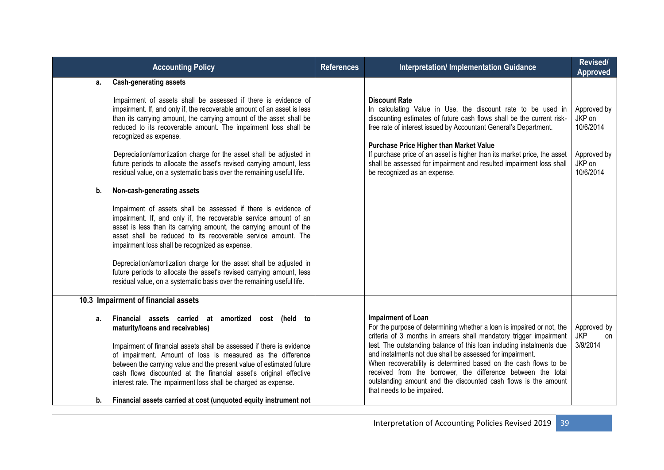| <b>Accounting Policy</b>                                                                                                                                                                                                                                                                                                                                                                                                                                                                                                                              | <b>References</b>                                                                                                                                                       | <b>Interpretation/ Implementation Guidance</b>                                                                                                                                                                                                                                                                                                                                                                                                                                                                                                   | Revised/<br><b>Approved</b>                                              |
|-------------------------------------------------------------------------------------------------------------------------------------------------------------------------------------------------------------------------------------------------------------------------------------------------------------------------------------------------------------------------------------------------------------------------------------------------------------------------------------------------------------------------------------------------------|-------------------------------------------------------------------------------------------------------------------------------------------------------------------------|--------------------------------------------------------------------------------------------------------------------------------------------------------------------------------------------------------------------------------------------------------------------------------------------------------------------------------------------------------------------------------------------------------------------------------------------------------------------------------------------------------------------------------------------------|--------------------------------------------------------------------------|
| <b>Cash-generating assets</b>                                                                                                                                                                                                                                                                                                                                                                                                                                                                                                                         |                                                                                                                                                                         |                                                                                                                                                                                                                                                                                                                                                                                                                                                                                                                                                  |                                                                          |
| Impairment of assets shall be assessed if there is evidence of<br>impairment. If, and only if, the recoverable amount of an asset is less<br>than its carrying amount, the carrying amount of the asset shall be<br>reduced to its recoverable amount. The impairment loss shall be<br>recognized as expense.<br>Depreciation/amortization charge for the asset shall be adjusted in<br>future periods to allocate the asset's revised carrying amount, less                                                                                          |                                                                                                                                                                         | <b>Discount Rate</b><br>In calculating Value in Use, the discount rate to be used in<br>discounting estimates of future cash flows shall be the current risk-<br>free rate of interest issued by Accountant General's Department.<br><b>Purchase Price Higher than Market Value</b><br>If purchase price of an asset is higher than its market price, the asset<br>shall be assessed for impairment and resulted impairment loss shall                                                                                                           | Approved by<br>JKP on<br>10/6/2014<br>Approved by<br>JKP on<br>10/6/2014 |
|                                                                                                                                                                                                                                                                                                                                                                                                                                                                                                                                                       |                                                                                                                                                                         |                                                                                                                                                                                                                                                                                                                                                                                                                                                                                                                                                  |                                                                          |
| Impairment of assets shall be assessed if there is evidence of<br>impairment. If, and only if, the recoverable service amount of an<br>asset is less than its carrying amount, the carrying amount of the<br>asset shall be reduced to its recoverable service amount. The<br>impairment loss shall be recognized as expense.<br>Depreciation/amortization charge for the asset shall be adjusted in<br>future periods to allocate the asset's revised carrying amount, less<br>residual value, on a systematic basis over the remaining useful life. |                                                                                                                                                                         |                                                                                                                                                                                                                                                                                                                                                                                                                                                                                                                                                  |                                                                          |
| 10.3 Impairment of financial assets                                                                                                                                                                                                                                                                                                                                                                                                                                                                                                                   |                                                                                                                                                                         |                                                                                                                                                                                                                                                                                                                                                                                                                                                                                                                                                  |                                                                          |
| Financial assets carried at amortized cost (held to<br>maturity/loans and receivables)<br>Impairment of financial assets shall be assessed if there is evidence<br>of impairment. Amount of loss is measured as the difference<br>between the carrying value and the present value of estimated future<br>cash flows discounted at the financial asset's original effective<br>interest rate. The impairment loss shall be charged as expense.                                                                                                        |                                                                                                                                                                         | <b>Impairment of Loan</b><br>For the purpose of determining whether a loan is impaired or not, the<br>criteria of 3 months in arrears shall mandatory trigger impairment<br>test. The outstanding balance of this loan including instalments due<br>and instalments not due shall be assessed for impairment.<br>When recoverability is determined based on the cash flows to be<br>received from the borrower, the difference between the total<br>outstanding amount and the discounted cash flows is the amount<br>that needs to be impaired. | Approved by<br><b>JKP</b><br>on<br>3/9/2014                              |
|                                                                                                                                                                                                                                                                                                                                                                                                                                                                                                                                                       | residual value, on a systematic basis over the remaining useful life.<br>Non-cash-generating assets<br>Financial assets carried at cost (unquoted equity instrument not |                                                                                                                                                                                                                                                                                                                                                                                                                                                                                                                                                  | be recognized as an expense.                                             |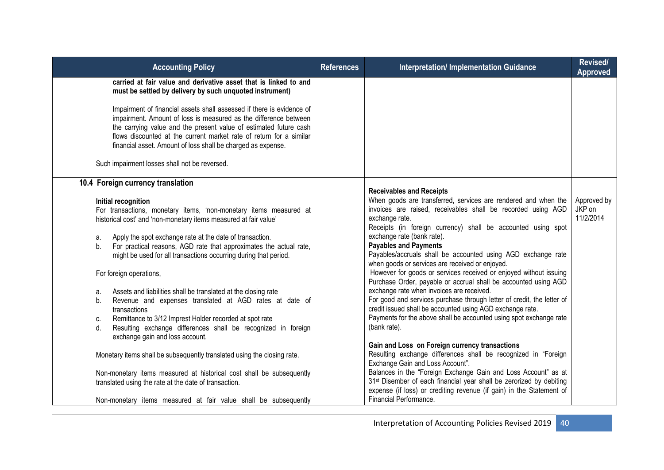| <b>Accounting Policy</b>                                                                                                                                                                                                                                                                                                                                                                                                                                                                                                                                                                                                                                                                                                                                                           | <b>References</b> | <b>Interpretation/ Implementation Guidance</b>                                                                                                                                                                                                                                                                                                                                                                                                                                                                                                                                                                                                                                                                                                                                                                                                         | Revised/<br><b>Approved</b>        |
|------------------------------------------------------------------------------------------------------------------------------------------------------------------------------------------------------------------------------------------------------------------------------------------------------------------------------------------------------------------------------------------------------------------------------------------------------------------------------------------------------------------------------------------------------------------------------------------------------------------------------------------------------------------------------------------------------------------------------------------------------------------------------------|-------------------|--------------------------------------------------------------------------------------------------------------------------------------------------------------------------------------------------------------------------------------------------------------------------------------------------------------------------------------------------------------------------------------------------------------------------------------------------------------------------------------------------------------------------------------------------------------------------------------------------------------------------------------------------------------------------------------------------------------------------------------------------------------------------------------------------------------------------------------------------------|------------------------------------|
| carried at fair value and derivative asset that is linked to and<br>must be settled by delivery by such unquoted instrument)                                                                                                                                                                                                                                                                                                                                                                                                                                                                                                                                                                                                                                                       |                   |                                                                                                                                                                                                                                                                                                                                                                                                                                                                                                                                                                                                                                                                                                                                                                                                                                                        |                                    |
| Impairment of financial assets shall assessed if there is evidence of<br>impairment. Amount of loss is measured as the difference between<br>the carrying value and the present value of estimated future cash<br>flows discounted at the current market rate of return for a similar<br>financial asset. Amount of loss shall be charged as expense.                                                                                                                                                                                                                                                                                                                                                                                                                              |                   |                                                                                                                                                                                                                                                                                                                                                                                                                                                                                                                                                                                                                                                                                                                                                                                                                                                        |                                    |
| Such impairment losses shall not be reversed.                                                                                                                                                                                                                                                                                                                                                                                                                                                                                                                                                                                                                                                                                                                                      |                   |                                                                                                                                                                                                                                                                                                                                                                                                                                                                                                                                                                                                                                                                                                                                                                                                                                                        |                                    |
| 10.4 Foreign currency translation<br>Initial recognition<br>For transactions, monetary items, 'non-monetary items measured at<br>historical cost' and 'non-monetary items measured at fair value'<br>Apply the spot exchange rate at the date of transaction.<br>a.<br>For practical reasons, AGD rate that approximates the actual rate,<br>b.<br>might be used for all transactions occurring during that period.<br>For foreign operations,<br>Assets and liabilities shall be translated at the closing rate<br>a.<br>Revenue and expenses translated at AGD rates at date of<br>b.<br>transactions<br>Remittance to 3/12 Imprest Holder recorded at spot rate<br>C.<br>Resulting exchange differences shall be recognized in foreign<br>d.<br>exchange gain and loss account. |                   | <b>Receivables and Receipts</b><br>When goods are transferred, services are rendered and when the<br>invoices are raised, receivables shall be recorded using AGD<br>exchange rate.<br>Receipts (in foreign currency) shall be accounted using spot<br>exchange rate (bank rate).<br><b>Payables and Payments</b><br>Payables/accruals shall be accounted using AGD exchange rate<br>when goods or services are received or enjoyed.<br>However for goods or services received or enjoyed without issuing<br>Purchase Order, payable or accrual shall be accounted using AGD<br>exchange rate when invoices are received.<br>For good and services purchase through letter of credit, the letter of<br>credit issued shall be accounted using AGD exchange rate.<br>Payments for the above shall be accounted using spot exchange rate<br>(bank rate). | Approved by<br>JKP on<br>11/2/2014 |
| Monetary items shall be subsequently translated using the closing rate.<br>Non-monetary items measured at historical cost shall be subsequently<br>translated using the rate at the date of transaction.                                                                                                                                                                                                                                                                                                                                                                                                                                                                                                                                                                           |                   | Gain and Loss on Foreign currency transactions<br>Resulting exchange differences shall be recognized in "Foreign<br>Exchange Gain and Loss Account".<br>Balances in the "Foreign Exchange Gain and Loss Account" as at<br>31 <sup>st</sup> Disember of each financial year shall be zerorized by debiting<br>expense (if loss) or crediting revenue (if gain) in the Statement of                                                                                                                                                                                                                                                                                                                                                                                                                                                                      |                                    |
| Non-monetary items measured at fair value shall be subsequently                                                                                                                                                                                                                                                                                                                                                                                                                                                                                                                                                                                                                                                                                                                    |                   | Financial Performance.                                                                                                                                                                                                                                                                                                                                                                                                                                                                                                                                                                                                                                                                                                                                                                                                                                 |                                    |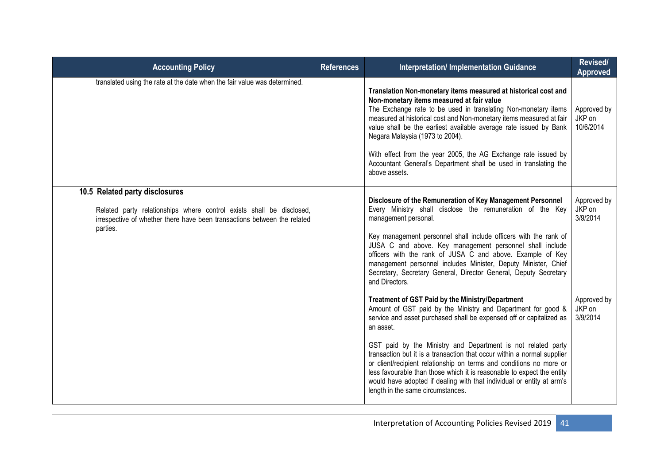| <b>Accounting Policy</b>                                                                                                                                                                       | <b>References</b> | <b>Interpretation/Implementation Guidance</b>                                                                                                                                                                                                                                                                                                                                                                                                                                                                                                                                                                                                                                                                                                                                                                                                                                                                                                                                                                                                                                                                           | Revised/<br><b>Approved</b>                                            |
|------------------------------------------------------------------------------------------------------------------------------------------------------------------------------------------------|-------------------|-------------------------------------------------------------------------------------------------------------------------------------------------------------------------------------------------------------------------------------------------------------------------------------------------------------------------------------------------------------------------------------------------------------------------------------------------------------------------------------------------------------------------------------------------------------------------------------------------------------------------------------------------------------------------------------------------------------------------------------------------------------------------------------------------------------------------------------------------------------------------------------------------------------------------------------------------------------------------------------------------------------------------------------------------------------------------------------------------------------------------|------------------------------------------------------------------------|
| translated using the rate at the date when the fair value was determined.                                                                                                                      |                   | Translation Non-monetary items measured at historical cost and<br>Non-monetary items measured at fair value<br>The Exchange rate to be used in translating Non-monetary items<br>measured at historical cost and Non-monetary items measured at fair<br>value shall be the earliest available average rate issued by Bank<br>Negara Malaysia (1973 to 2004).<br>With effect from the year 2005, the AG Exchange rate issued by<br>Accountant General's Department shall be used in translating the<br>above assets.                                                                                                                                                                                                                                                                                                                                                                                                                                                                                                                                                                                                     | Approved by<br>JKP on<br>10/6/2014                                     |
| 10.5 Related party disclosures<br>Related party relationships where control exists shall be disclosed,<br>irrespective of whether there have been transactions between the related<br>parties. |                   | Disclosure of the Remuneration of Key Management Personnel<br>Every Ministry shall disclose the remuneration of the Key<br>management personal.<br>Key management personnel shall include officers with the rank of<br>JUSA C and above. Key management personnel shall include<br>officers with the rank of JUSA C and above. Example of Key<br>management personnel includes Minister, Deputy Minister, Chief<br>Secretary, Secretary General, Director General, Deputy Secretary<br>and Directors.<br>Treatment of GST Paid by the Ministry/Department<br>Amount of GST paid by the Ministry and Department for good &<br>service and asset purchased shall be expensed off or capitalized as<br>an asset.<br>GST paid by the Ministry and Department is not related party<br>transaction but it is a transaction that occur within a normal supplier<br>or client/recipient relationship on terms and conditions no more or<br>less favourable than those which it is reasonable to expect the entity<br>would have adopted if dealing with that individual or entity at arm's<br>length in the same circumstances. | Approved by<br>JKP on<br>3/9/2014<br>Approved by<br>JKP on<br>3/9/2014 |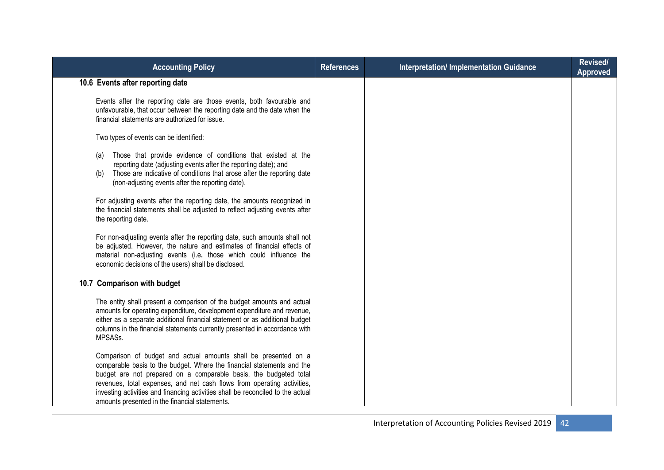| <b>Accounting Policy</b>                                                                                                                                                                                                                                                                                                                                                                                                       | <b>References</b> | <b>Interpretation/Implementation Guidance</b> | Revised/<br><b>Approved</b> |
|--------------------------------------------------------------------------------------------------------------------------------------------------------------------------------------------------------------------------------------------------------------------------------------------------------------------------------------------------------------------------------------------------------------------------------|-------------------|-----------------------------------------------|-----------------------------|
| 10.6 Events after reporting date                                                                                                                                                                                                                                                                                                                                                                                               |                   |                                               |                             |
| Events after the reporting date are those events, both favourable and<br>unfavourable, that occur between the reporting date and the date when the<br>financial statements are authorized for issue.                                                                                                                                                                                                                           |                   |                                               |                             |
| Two types of events can be identified:                                                                                                                                                                                                                                                                                                                                                                                         |                   |                                               |                             |
| Those that provide evidence of conditions that existed at the<br>(a)<br>reporting date (adjusting events after the reporting date); and<br>Those are indicative of conditions that arose after the reporting date<br>(b)<br>(non-adjusting events after the reporting date).                                                                                                                                                   |                   |                                               |                             |
| For adjusting events after the reporting date, the amounts recognized in<br>the financial statements shall be adjusted to reflect adjusting events after<br>the reporting date.                                                                                                                                                                                                                                                |                   |                                               |                             |
| For non-adjusting events after the reporting date, such amounts shall not<br>be adjusted. However, the nature and estimates of financial effects of<br>material non-adjusting events (i.e. those which could influence the<br>economic decisions of the users) shall be disclosed.                                                                                                                                             |                   |                                               |                             |
| 10.7 Comparison with budget                                                                                                                                                                                                                                                                                                                                                                                                    |                   |                                               |                             |
| The entity shall present a comparison of the budget amounts and actual<br>amounts for operating expenditure, development expenditure and revenue,<br>either as a separate additional financial statement or as additional budget<br>columns in the financial statements currently presented in accordance with<br>MPSASs.                                                                                                      |                   |                                               |                             |
| Comparison of budget and actual amounts shall be presented on a<br>comparable basis to the budget. Where the financial statements and the<br>budget are not prepared on a comparable basis, the budgeted total<br>revenues, total expenses, and net cash flows from operating activities,<br>investing activities and financing activities shall be reconciled to the actual<br>amounts presented in the financial statements. |                   |                                               |                             |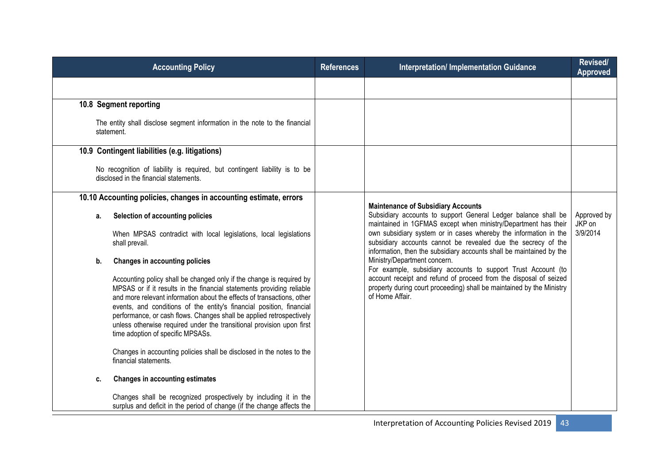|    | <b>Accounting Policy</b>                                                                                                                                                                                                                                                                                                                                                                                                                                                              | <b>References</b> | <b>Interpretation/ Implementation Guidance</b>                                                                                                                                                            | Revised/<br><b>Approved</b> |
|----|---------------------------------------------------------------------------------------------------------------------------------------------------------------------------------------------------------------------------------------------------------------------------------------------------------------------------------------------------------------------------------------------------------------------------------------------------------------------------------------|-------------------|-----------------------------------------------------------------------------------------------------------------------------------------------------------------------------------------------------------|-----------------------------|
|    |                                                                                                                                                                                                                                                                                                                                                                                                                                                                                       |                   |                                                                                                                                                                                                           |                             |
|    | 10.8 Segment reporting                                                                                                                                                                                                                                                                                                                                                                                                                                                                |                   |                                                                                                                                                                                                           |                             |
|    | The entity shall disclose segment information in the note to the financial<br>statement.                                                                                                                                                                                                                                                                                                                                                                                              |                   |                                                                                                                                                                                                           |                             |
|    | 10.9 Contingent liabilities (e.g. litigations)                                                                                                                                                                                                                                                                                                                                                                                                                                        |                   |                                                                                                                                                                                                           |                             |
|    | No recognition of liability is required, but contingent liability is to be<br>disclosed in the financial statements.                                                                                                                                                                                                                                                                                                                                                                  |                   |                                                                                                                                                                                                           |                             |
|    | 10.10 Accounting policies, changes in accounting estimate, errors                                                                                                                                                                                                                                                                                                                                                                                                                     |                   |                                                                                                                                                                                                           |                             |
| а. | Selection of accounting policies                                                                                                                                                                                                                                                                                                                                                                                                                                                      |                   | <b>Maintenance of Subsidiary Accounts</b><br>Subsidiary accounts to support General Ledger balance shall be<br>maintained in 1GFMAS except when ministry/Department has their                             | Approved by<br>JKP on       |
|    | When MPSAS contradict with local legislations, local legislations<br>shall prevail.                                                                                                                                                                                                                                                                                                                                                                                                   |                   | own subsidiary system or in cases whereby the information in the<br>subsidiary accounts cannot be revealed due the secrecy of the<br>information, then the subsidiary accounts shall be maintained by the | 3/9/2014                    |
| b. | <b>Changes in accounting policies</b>                                                                                                                                                                                                                                                                                                                                                                                                                                                 |                   | Ministry/Department concern.<br>For example, subsidiary accounts to support Trust Account (to                                                                                                             |                             |
|    | Accounting policy shall be changed only if the change is required by<br>MPSAS or if it results in the financial statements providing reliable<br>and more relevant information about the effects of transactions, other<br>events, and conditions of the entity's financial position, financial<br>performance, or cash flows. Changes shall be applied retrospectively<br>unless otherwise required under the transitional provision upon first<br>time adoption of specific MPSASs. |                   | account receipt and refund of proceed from the disposal of seized<br>property during court proceeding) shall be maintained by the Ministry<br>of Home Affair.                                             |                             |
|    | Changes in accounting policies shall be disclosed in the notes to the<br>financial statements.                                                                                                                                                                                                                                                                                                                                                                                        |                   |                                                                                                                                                                                                           |                             |
| c. | <b>Changes in accounting estimates</b>                                                                                                                                                                                                                                                                                                                                                                                                                                                |                   |                                                                                                                                                                                                           |                             |
|    | Changes shall be recognized prospectively by including it in the<br>surplus and deficit in the period of change (if the change affects the                                                                                                                                                                                                                                                                                                                                            |                   |                                                                                                                                                                                                           |                             |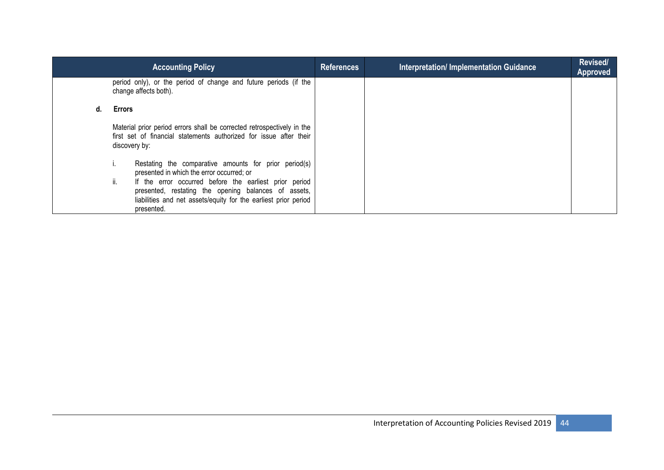| <b>Accounting Policy</b>                                                                                                                                                                               | <b>References</b> | <b>Interpretation/Implementation Guidance</b> | Revised/<br><b>Approved</b> |
|--------------------------------------------------------------------------------------------------------------------------------------------------------------------------------------------------------|-------------------|-----------------------------------------------|-----------------------------|
| period only), or the period of change and future periods (if the<br>change affects both).                                                                                                              |                   |                                               |                             |
| <b>Errors</b>                                                                                                                                                                                          |                   |                                               |                             |
| Material prior period errors shall be corrected retrospectively in the<br>first set of financial statements authorized for issue after their<br>discovery by:                                          |                   |                                               |                             |
| Restating the comparative amounts for prior period(s)<br>presented in which the error occurred; or                                                                                                     |                   |                                               |                             |
| ii.<br>If the error occurred before the earliest prior period<br>presented, restating the opening balances of assets,<br>liabilities and net assets/equity for the earliest prior period<br>presented. |                   |                                               |                             |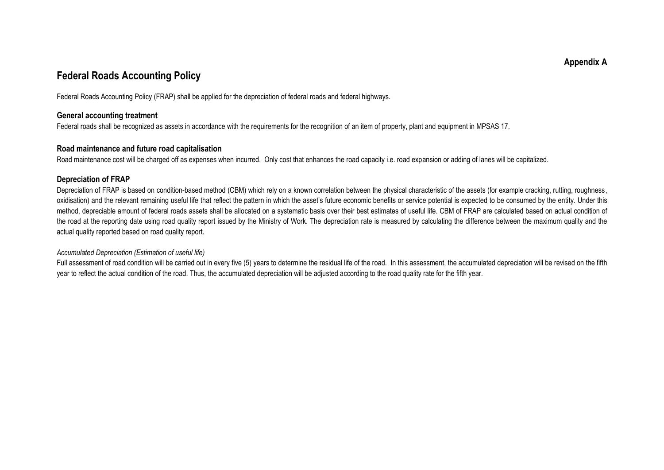## **Federal Roads Accounting Policy**

Federal Roads Accounting Policy (FRAP) shall be applied for the depreciation of federal roads and federal highways.

#### **General accounting treatment**

Federal roads shall be recognized as assets in accordance with the requirements for the recognition of an item of property, plant and equipment in MPSAS 17.

#### **Road maintenance and future road capitalisation**

Road maintenance cost will be charged off as expenses when incurred. Only cost that enhances the road capacity i.e. road expansion or adding of lanes will be capitalized.

#### **Depreciation of FRAP**

Depreciation of FRAP is based on condition-based method (CBM) which rely on a known correlation between the physical characteristic of the assets (for example cracking, rutting, roughness, oxidisation) and the relevant remaining useful life that reflect the pattern in which the asset"s future economic benefits or service potential is expected to be consumed by the entity. Under this method, depreciable amount of federal roads assets shall be allocated on a systematic basis over their best estimates of useful life. CBM of FRAP are calculated based on actual condition of the road at the reporting date using road quality report issued by the Ministry of Work. The depreciation rate is measured by calculating the difference between the maximum quality and the actual quality reported based on road quality report.

#### *Accumulated Depreciation (Estimation of useful life)*

Full assessment of road condition will be carried out in every five (5) years to determine the residual life of the road. In this assessment, the accumulated depreciation will be revised on the fifth year to reflect the actual condition of the road. Thus, the accumulated depreciation will be adjusted according to the road quality rate for the fifth year.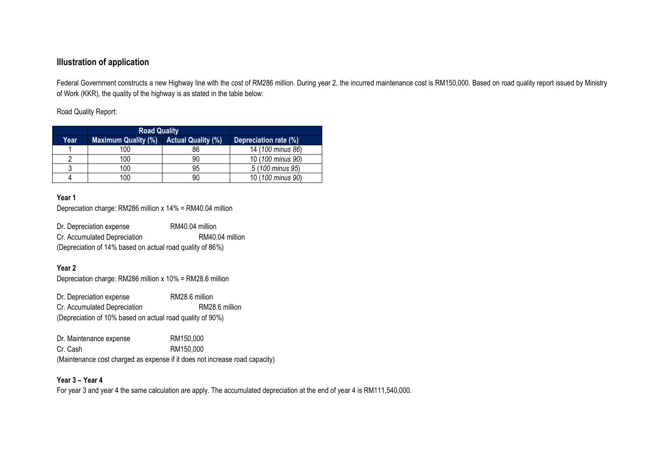#### **Illustration of application**

Federal Government constructs a new Highway line with the cost of RM286 million. During year 2, the incurred maintenance cost is RM150,000. Based on road quality report issued by Ministry of Work (KKR), the quality of the highway is as stated in the table below:

Road Quality Report:

|      | <b>Road Quality</b>        |                           |                       |
|------|----------------------------|---------------------------|-----------------------|
| Year | <b>Maximum Quality (%)</b> | <b>Actual Quality (%)</b> | Depreciation rate (%) |
|      | 100                        | 86                        | 14 (100 minus 86)     |
|      | 100                        | 90                        | 10 (100 minus 90)     |
|      | 100                        | 95                        | 5 (100 minus 95)      |
| 4    | 100                        | 90                        | 10 (100 minus 90)     |

#### **Year 1**

Depreciation charge: RM286 million x 14% = RM40.04 million

| Dr. Depreciation expense                                  | RM40.04 million |
|-----------------------------------------------------------|-----------------|
| Cr. Accumulated Depreciation                              | RM40.04 million |
| (Depreciation of 14% based on actual road quality of 86%) |                 |

#### **Year 2**

Depreciation charge: RM286 million x 10% = RM28.6 million

Dr. Depreciation expense RM28.6 million Cr. Accumulated Depreciation RM28.6 million (Depreciation of 10% based on actual road quality of 90%)

| Dr. Maintenance expense | RM150.000                                                                   |
|-------------------------|-----------------------------------------------------------------------------|
| Cr. Cash                | RM150.000                                                                   |
|                         | (Maintenance cost charged as expense if it does not increase road capacity) |

#### **Year 3 – Year 4**

For year 3 and year 4 the same calculation are apply. The accumulated depreciation at the end of year 4 is RM111,540,000.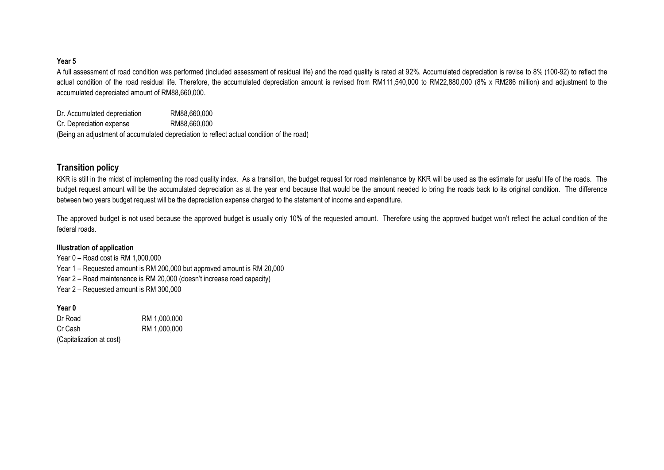#### **Year 5**

A full assessment of road condition was performed (included assessment of residual life) and the road quality is rated at 92%. Accumulated depreciation is revise to 8% (100-92) to reflect the actual condition of the road residual life. Therefore, the accumulated depreciation amount is revised from RM111,540,000 to RM22,880,000 (8% x RM286 million) and adjustment to the accumulated depreciated amount of RM88,660,000.

Dr. Accumulated depreciation RM88,660,000 Cr. Depreciation expense RM88,660,000 (Being an adjustment of accumulated depreciation to reflect actual condition of the road)

#### **Transition policy**

KKR is still in the midst of implementing the road quality index. As a transition, the budget request for road maintenance by KKR will be used as the estimate for useful life of the roads. The budget request amount will be the accumulated depreciation as at the year end because that would be the amount needed to bring the roads back to its original condition. The difference between two years budget request will be the depreciation expense charged to the statement of income and expenditure.

The approved budget is not used because the approved budget is usually only 10% of the requested amount. Therefore using the approved budget won"t reflect the actual condition of the federal roads.

#### **Illustration of application**

Year 0 – Road cost is RM 1,000,000 Year 1 – Requested amount is RM 200,000 but approved amount is RM 20,000 Year 2 – Road maintenance is RM 20,000 (doesn"t increase road capacity) Year 2 – Requested amount is RM 300,000

**Year 0**

Dr Road RM 1,000,000 Cr Cash RM 1,000,000 (Capitalization at cost)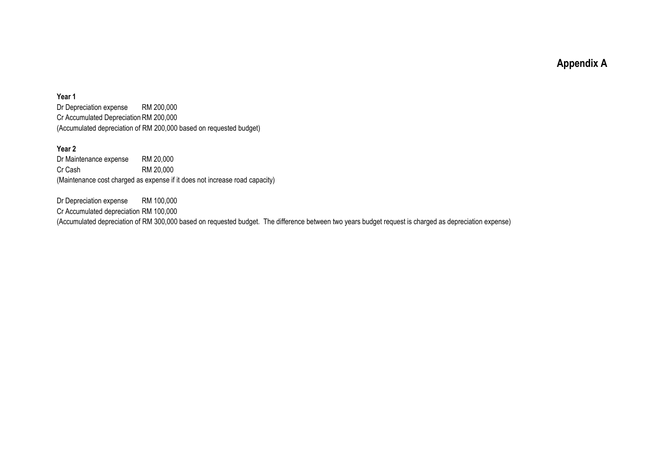**Appendix A**

#### **Year 1**

Dr Depreciation expense RM 200,000 Cr Accumulated Depreciation RM 200,000 (Accumulated depreciation of RM 200,000 based on requested budget)

#### **Year 2**

Dr Maintenance expense RM 20,000 Cr Cash RM 20,000 (Maintenance cost charged as expense if it does not increase road capacity)

Dr Depreciation expense RM 100,000 Cr Accumulated depreciation RM 100,000 (Accumulated depreciation of RM 300,000 based on requested budget. The difference between two years budget request is charged as depreciation expense)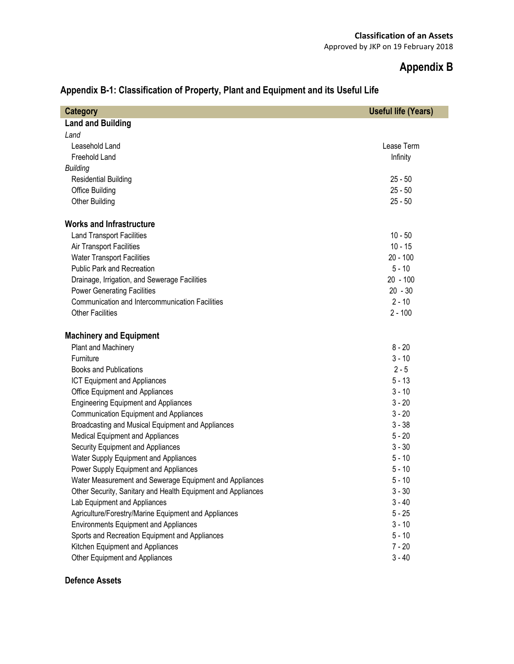# **Appendix B**

| <b>Category</b>                                              | <b>Useful life (Years)</b> |
|--------------------------------------------------------------|----------------------------|
| <b>Land and Building</b>                                     |                            |
| Land                                                         |                            |
| Leasehold Land                                               | Lease Term                 |
| Freehold Land                                                | Infinity                   |
| <b>Building</b>                                              |                            |
| <b>Residential Building</b>                                  | $25 - 50$                  |
| Office Building                                              | $25 - 50$                  |
| <b>Other Building</b>                                        | $25 - 50$                  |
| <b>Works and Infrastructure</b>                              |                            |
| <b>Land Transport Facilities</b>                             | $10 - 50$                  |
| Air Transport Facilities                                     | $10 - 15$                  |
| <b>Water Transport Facilities</b>                            | $20 - 100$                 |
| <b>Public Park and Recreation</b>                            | $5 - 10$                   |
| Drainage, Irrigation, and Sewerage Facilities                | $20 - 100$                 |
| <b>Power Generating Facilities</b>                           | $20 - 30$                  |
| Communication and Intercommunication Facilities              | $2 - 10$                   |
| <b>Other Facilities</b>                                      | $2 - 100$                  |
| <b>Machinery and Equipment</b>                               |                            |
| Plant and Machinery                                          | $8 - 20$                   |
| Furniture                                                    | $3 - 10$                   |
| <b>Books and Publications</b>                                | $2 - 5$                    |
| <b>ICT Equipment and Appliances</b>                          | $5 - 13$                   |
| Office Equipment and Appliances                              | $3 - 10$                   |
| <b>Engineering Equipment and Appliances</b>                  | $3 - 20$                   |
| <b>Communication Equipment and Appliances</b>                | $3 - 20$                   |
| Broadcasting and Musical Equipment and Appliances            | $3 - 38$                   |
| Medical Equipment and Appliances                             | $5 - 20$                   |
| Security Equipment and Appliances                            | $3 - 30$                   |
| Water Supply Equipment and Appliances                        | $5 - 10$                   |
| Power Supply Equipment and Appliances                        | $5 - 10$                   |
| Water Measurement and Sewerage Equipment and Appliances      | $5 - 10$                   |
| Other Security, Sanitary and Health Equipment and Appliances | $3 - 30$                   |
| Lab Equipment and Appliances                                 | $3 - 40$                   |
| Agriculture/Forestry/Marine Equipment and Appliances         | $5 - 25$                   |
| <b>Environments Equipment and Appliances</b>                 | $3 - 10$                   |
| Sports and Recreation Equipment and Appliances               | $5 - 10$                   |
| Kitchen Equipment and Appliances                             | $7 - 20$                   |
| Other Equipment and Appliances                               | $3 - 40$                   |

## **Appendix B-1: Classification of Property, Plant and Equipment and its Useful Life**

#### **Defence Assets**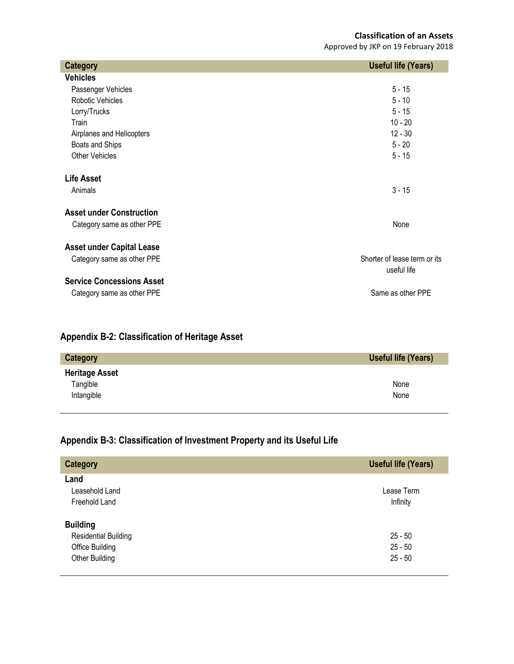## **Classification of an Assets**

Approved by JKP on 19 February 2018

| <b>Category</b>                  | <b>Useful life (Years)</b>   |
|----------------------------------|------------------------------|
| <b>Vehicles</b>                  |                              |
| Passenger Vehicles               | $5 - 15$                     |
| Robotic Vehicles                 | $5 - 10$                     |
| Lorry/Trucks                     | $5 - 15$                     |
| Train                            | $10 - 20$                    |
| Airplanes and Helicopters        | $12 - 30$                    |
| Boats and Ships                  | $5 - 20$                     |
| <b>Other Vehicles</b>            | $5 - 15$                     |
| <b>Life Asset</b>                |                              |
| Animals                          | $3 - 15$                     |
| <b>Asset under Construction</b>  |                              |
| Category same as other PPE       | None                         |
| <b>Asset under Capital Lease</b> |                              |
| Category same as other PPE       | Shorter of lease term or its |
|                                  | useful life                  |
| <b>Service Concessions Asset</b> |                              |
| Category same as other PPE       | Same as other PPE            |

## **Appendix B-2: Classification of Heritage Asset**

| Category              | Useful life (Years) |
|-----------------------|---------------------|
| <b>Heritage Asset</b> |                     |
| Tangible              | None                |
| Intangible            | None                |

## **Appendix B-3: Classification of Investment Property and its Useful Life**

| <b>Category</b>             | <b>Useful life (Years)</b> |
|-----------------------------|----------------------------|
| Land                        |                            |
| Leasehold Land              | Lease Term                 |
| Freehold Land               | Infinity                   |
| <b>Building</b>             |                            |
| <b>Residential Building</b> | $25 - 50$                  |
| Office Building             | $25 - 50$                  |
| Other Building              | $25 - 50$                  |